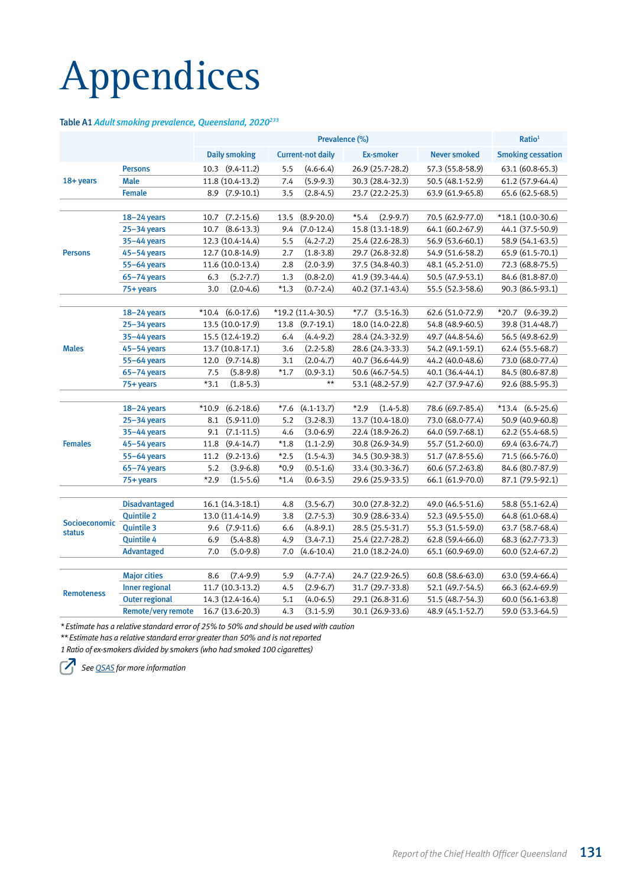# Appendices

## Table A1 *Adult smoking prevalence, Queensland, 2020233*

|                                |                           | Prevalence (%)            |        |                          |                         |                     | Ratio <sup>1</sup>       |
|--------------------------------|---------------------------|---------------------------|--------|--------------------------|-------------------------|---------------------|--------------------------|
|                                |                           | <b>Daily smoking</b>      |        | <b>Current-not daily</b> | <b>Ex-smoker</b>        | <b>Never smoked</b> | <b>Smoking cessation</b> |
|                                | <b>Persons</b>            | 10.3 (9.4-11.2)           | 5.5    | $(4.6 - 6.4)$            | 26.9 (25.7-28.2)        | 57.3 (55.8-58.9)    | 63.1 (60.8-65.3)         |
| 18+ years                      | <b>Male</b>               | 11.8 (10.4-13.2)          | 7.4    | $(5.9-9.3)$              | 30.3 (28.4-32.3)        | 50.5 (48.1-52.9)    | 61.2 (57.9-64.4)         |
|                                | <b>Female</b>             | $(7.9-10.1)$<br>8.9       | 3.5    | $(2.8-4.5)$              | 23.7 (22.2-25.3)        | 63.9 (61.9-65.8)    | 65.6 (62.5-68.5)         |
|                                |                           |                           |        |                          |                         |                     |                          |
|                                | $18 - 24$ years           | $(7.2 - 15.6)$<br>10.7    | 13.5   | $(8.9 - 20.0)$           | $*5.4$<br>$(2.9-9.7)$   | 70.5 (62.9-77.0)    | $*18.1(10.0-30.6)$       |
|                                | $25 - 34$ years           | $(8.6 - 13.3)$<br>10.7    | 9.4    | $(7.0-12.4)$             | 15.8 (13.1-18.9)        | 64.1 (60.2-67.9)    | 44.1 (37.5-50.9)         |
|                                | 35-44 years               | 12.3 (10.4-14.4)          | 5.5    | $(4.2 - 7.2)$            | 25.4 (22.6-28.3)        | 56.9 (53.6-60.1)    | 58.9 (54.1-63.5)         |
| <b>Persons</b>                 | $45 - 54$ years           | 12.7 (10.8-14.9)          | 2.7    | $(1.8 - 3.8)$            | 29.7 (26.8-32.8)        | 54.9 (51.6-58.2)    | 65.9 (61.5-70.1)         |
|                                | 55-64 years               | 11.6 (10.0-13.4)          | 2.8    | $(2.0-3.9)$              | 37.5 (34.8-40.3)        | 48.1 (45.2-51.0)    | 72.3 (68.8-75.5)         |
|                                | $65 - 74$ years           | $(5.2 - 7.7)$<br>6.3      | 1.3    | $(0.8 - 2.0)$            | 41.9 (39.3-44.4)        | 50.5 (47.9-53.1)    | 84.6 (81.8-87.0)         |
|                                | 75+ years                 | $(2.0-4.6)$<br>3.0        | $*1.3$ | $(0.7 - 2.4)$            | 40.2 (37.1-43.4)        | 55.5 (52.3-58.6)    | 90.3 (86.5-93.1)         |
|                                |                           |                           |        |                          |                         |                     |                          |
|                                | $18 - 24$ years           | $(6.0-17.6)$<br>$*10.4$   |        | $*19.2(11.4-30.5)$       | $*7.7$ $(3.5-16.3)$     | 62.6 (51.0-72.9)    | $*20.7$ (9.6-39.2)       |
|                                | $25 - 34$ years           | 13.5 (10.0-17.9)          | 13.8   | $(9.7-19.1)$             | 18.0 (14.0-22.8)        | 54.8 (48.9-60.5)    | 39.8 (31.4-48.7)         |
| <b>Males</b>                   | $35 - 44$ years           | 15.5 (12.4-19.2)          | 6.4    | $(4.4 - 9.2)$            | 28.4 (24.3-32.9)        | 49.7 (44.8-54.6)    | 56.5 (49.8-62.9)         |
|                                | $45 - 54$ years           | 13.7 (10.8-17.1)          | 3.6    | $(2.2 - 5.8)$            | 28.6 (24.3-33.3)        | 54.2 (49.1-59.1)    | 62.4 (55.5-68.7)         |
|                                | 55-64 years               | 12.0<br>$(9.7-14.8)$      | 3.1    | $(2.0 - 4.7)$            | 40.7 (36.6-44.9)        | 44.2 (40.0-48.6)    | 73.0 (68.0-77.4)         |
|                                | $65 - 74$ years           | 7.5<br>$(5.8-9.8)$        | $*1.7$ | $(0.9 - 3.1)$            | 50.6 (46.7-54.5)        | 40.1 (36.4-44.1)    | 84.5 (80.6-87.8)         |
|                                | 75+ years                 | $*3.1$<br>$(1.8-5.3)$     |        | $\star\star$             | 53.1 (48.2-57.9)        | 42.7 (37.9-47.6)    | 92.6 (88.5-95.3)         |
|                                |                           |                           |        |                          |                         |                     |                          |
|                                | $18 - 24$ years           | $(6.2 - 18.6)$<br>$*10.9$ | $*7.6$ | $(4.1 - 13.7)$           | $*2.9$<br>$(1.4 - 5.8)$ | 78.6 (69.7-85.4)    | $*13.4$ $(6.5-25.6)$     |
|                                | $25 - 34$ years           | 8.1<br>$(5.9-11.0)$       | 5.2    | $(3.2 - 8.3)$            | 13.7 (10.4-18.0)        | 73.0 (68.0-77.4)    | 50.9 (40.9-60.8)         |
|                                | $35 - 44$ years           | $(7.1 - 11.5)$<br>9.1     | 4.6    | $(3.0 - 6.9)$            | 22.4 (18.9-26.2)        | 64.0 (59.7-68.1)    | 62.2 (55.4-68.5)         |
| <b>Females</b>                 | $45 - 54$ years           | 11.8<br>$(9.4 - 14.7)$    | $*1.8$ | $(1.1 - 2.9)$            | 30.8 (26.9-34.9)        | 55.7 (51.2-60.0)    | 69.4 (63.6-74.7)         |
|                                | 55-64 years               | 11.2 (9.2-13.6)           | $*2.5$ | $(1.5-4.3)$              | 34.5 (30.9-38.3)        | 51.7 (47.8-55.6)    | 71.5 (66.5-76.0)         |
|                                | $65 - 74$ years           | 5.2<br>$(3.9 - 6.8)$      | $*0.9$ | $(0.5 - 1.6)$            | 33.4 (30.3-36.7)        | 60.6 (57.2-63.8)    | 84.6 (80.7-87.9)         |
|                                | 75+ years                 | $*2.9$<br>$(1.5 - 5.6)$   | $*1.4$ | $(0.6 - 3.5)$            | 29.6 (25.9-33.5)        | 66.1 (61.9-70.0)    | 87.1 (79.5-92.1)         |
|                                |                           |                           |        |                          |                         |                     |                          |
|                                | <b>Disadvantaged</b>      | 16.1 (14.3-18.1)          | 4.8    | $(3.5 - 6.7)$            | 30.0 (27.8-32.2)        | 49.0 (46.5-51.6)    | 58.8 (55.1-62.4)         |
|                                | <b>Quintile 2</b>         | 13.0 (11.4-14.9)          | 3.8    | $(2.7 - 5.3)$            | 30.9 (28.6-33.4)        | 52.3 (49.5-55.0)    | 64.8 (61.0-68.4)         |
| Socioeconomic<br><b>status</b> | <b>Quintile 3</b>         | 9.6 (7.9-11.6)            | 6.6    | $(4.8-9.1)$              | 28.5 (25.5-31.7)        | 55.3 (51.5-59.0)    | 63.7 (58.7-68.4)         |
|                                | <b>Quintile 4</b>         | 6.9<br>$(5.4 - 8.8)$      | 4.9    | $(3.4 - 7.1)$            | 25.4 (22.7-28.2)        | 62.8 (59.4-66.0)    | 68.3 (62.7-73.3)         |
|                                | <b>Advantaged</b>         | 7.0<br>$(5.0-9.8)$        | 7.0    | $(4.6 - 10.4)$           | 21.0 (18.2-24.0)        | 65.1 (60.9-69.0)    | 60.0 (52.4-67.2)         |
|                                |                           |                           |        |                          |                         |                     |                          |
|                                | <b>Major cities</b>       | $(7.4-9.9)$<br>8.6        | 5.9    | $(4.7 - 7.4)$            | 24.7 (22.9-26.5)        | 60.8 (58.6-63.0)    | 63.0 (59.4-66.4)         |
| <b>Remoteness</b>              | <b>Inner regional</b>     | 11.7 (10.3-13.2)          | 4.5    | $(2.9 - 6.7)$            | 31.7 (29.7-33.8)        | 52.1 (49.7-54.5)    | 66.3 (62.4-69.9)         |
|                                | <b>Outer regional</b>     | 14.3 (12.4-16.4)          | 5.1    | $(4.0 - 6.5)$            | 29.1 (26.8-31.6)        | 51.5 (48.7-54.3)    | 60.0 (56.1-63.8)         |
|                                | <b>Remote/very remote</b> | 16.7 (13.6-20.3)          | 4.3    | $(3.1 - 5.9)$            | 30.1 (26.9-33.6)        | 48.9 (45.1-52.7)    | 59.0 (53.3-64.5)         |

*\* Estimate has a relative standard error of 25% to 50% and should be used with caution*

*\*\* Estimate has a relative standard error greater than 50% and is not reported*

*1 Ratio of ex-smokers divided by smokers (who had smoked 100 cigarettes)*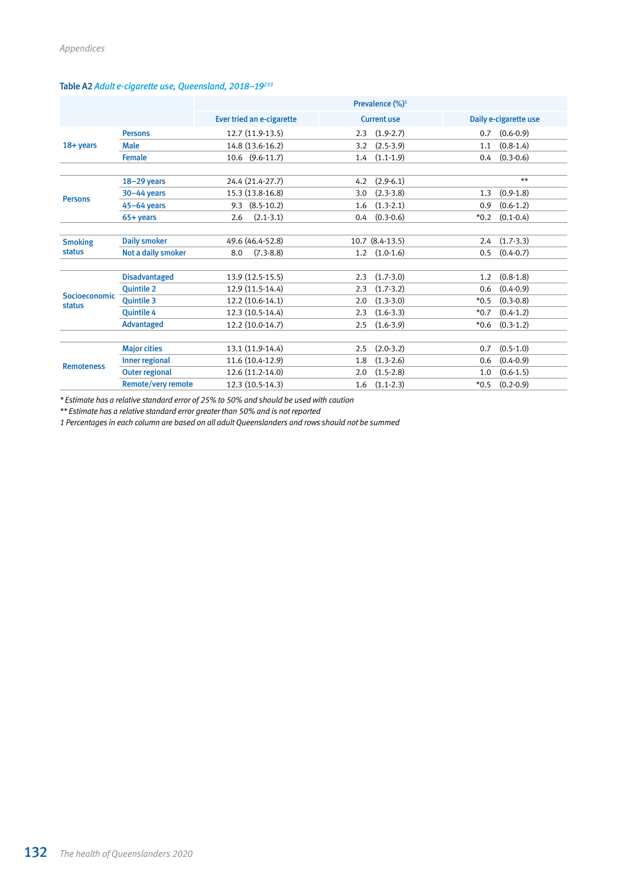|                         |                       | Prevalence (%) <sup>1</sup> |                              |                         |  |  |  |
|-------------------------|-----------------------|-----------------------------|------------------------------|-------------------------|--|--|--|
|                         |                       | Ever tried an e-cigarette   | <b>Current use</b>           | Daily e-cigarette use   |  |  |  |
|                         | <b>Persons</b>        | 12.7 (11.9-13.5)            | $(1.9-2.7)$<br>2.3           | $(0.6 - 0.9)$<br>0.7    |  |  |  |
| 18+ years               | <b>Male</b>           | 14.8 (13.6-16.2)            | 3.2<br>$(2.5-3.9)$           | $(0.8-1.4)$<br>1.1      |  |  |  |
|                         | <b>Female</b>         | 10.6 (9.6-11.7)             | $(1.1-1.9)$<br>1.4           | $(0.3 - 0.6)$<br>0.4    |  |  |  |
|                         | $18-29$ years         | 24.4 (21.4-27.7)            | $(2.9-6.1)$<br>4.2           | $***$                   |  |  |  |
| <b>Persons</b>          | $30 - 44$ years       | 15.3 (13.8-16.8)            | $(2.3-3.8)$<br>3.0           | $(0.9-1.8)$<br>1.3      |  |  |  |
|                         | $45-64$ years         | $(8.5 - 10.2)$<br>9.3       | $(1.3-2.1)$<br>1.6           | $(0.6-1.2)$<br>0.9      |  |  |  |
|                         | 65+ years             | $(2.1-3.1)$<br>2.6          | $(0.3 - 0.6)$<br>0.4         | $*0.2$<br>$(0.1 - 0.4)$ |  |  |  |
| <b>Smoking</b>          | <b>Daily smoker</b>   | 49.6 (46.4-52.8)            | $10.7$ $(8.4-13.5)$          | $(1.7-3.3)$<br>2.4      |  |  |  |
| <b>status</b>           | Not a daily smoker    | $(7.3 - 8.8)$<br>8.0        | $(1.0-1.6)$<br>$1.2^{\circ}$ | $(0.4 - 0.7)$<br>0.5    |  |  |  |
|                         | <b>Disadvantaged</b>  | 13.9 (12.5-15.5)            | $(1.7-3.0)$<br>2.3           | $(0.8-1.8)$<br>1.2      |  |  |  |
|                         | <b>Quintile 2</b>     | 12.9 (11.5-14.4)            | $(1.7-3.2)$<br>2.3           | $(0.4 - 0.9)$<br>0.6    |  |  |  |
| Socioeconomic<br>status | <b>Ouintile 3</b>     | 12.2 (10.6-14.1)            | $(1.3-3.0)$<br>2.0           | $(0.3 - 0.8)$<br>$*0.5$ |  |  |  |
|                         | <b>Ouintile 4</b>     | 12.3 (10.5-14.4)            | $(1.6-3.3)$<br>2.3           | $(0.4-1.2)$<br>$*0.7$   |  |  |  |
|                         | <b>Advantaged</b>     | 12.2 (10.0-14.7)            | $(1.6-3.9)$<br>2.5           | $*0.6$<br>$(0.3-1.2)$   |  |  |  |
|                         | <b>Major cities</b>   | 13.1 (11.9-14.4)            | $(2.0-3.2)$<br>2.5           | $(0.5-1.0)$<br>0.7      |  |  |  |
|                         | Inner regional        | 11.6 (10.4-12.9)            | $(1.3-2.6)$<br>1.8           | $(0.4 - 0.9)$<br>0.6    |  |  |  |
| <b>Remoteness</b>       | <b>Outer regional</b> | 12.6 (11.2-14.0)            | $(1.5 - 2.8)$<br>2.0         | $(0.6 - 1.5)$<br>1.0    |  |  |  |
|                         | Remote/very remote    | 12.3 (10.5-14.3)            | $(1.1-2.3)$<br>1.6           | $*0.5$<br>$(0.2 - 0.9)$ |  |  |  |

# Table A2 *Adult e-cigarette use, Queensland, 2018–19233*

*\* Estimate has a relative standard error of 25% to 50% and should be used with caution*

*\*\* Estimate has a relative standard error greater than 50% and is not reported*

*1 Percentages in each column are based on all adult Queenslanders and rows should not be summed*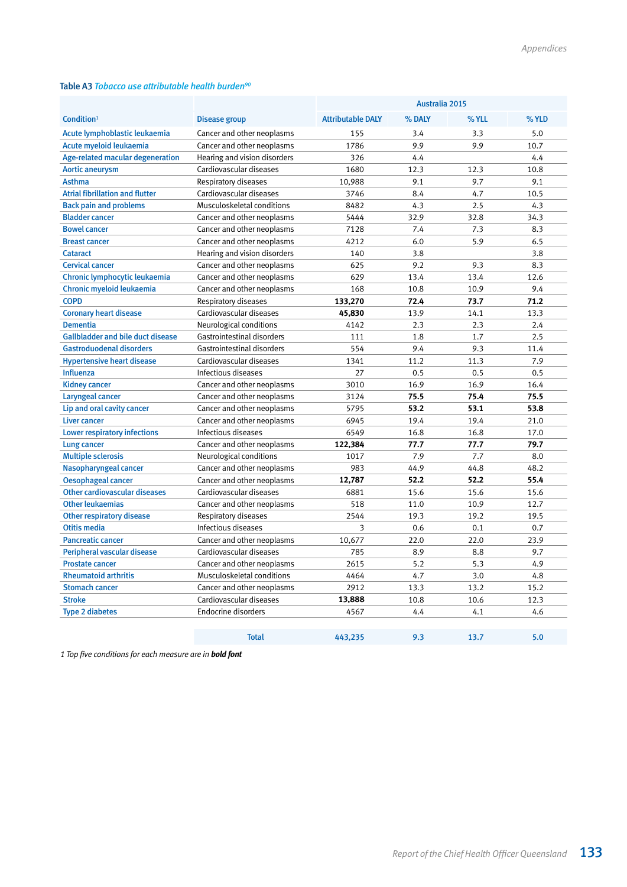#### Table A3 *Tobacco use attributable health burden90*

|                                          |                              | Australia 2015           |        |       |       |
|------------------------------------------|------------------------------|--------------------------|--------|-------|-------|
| Condition <sup>1</sup>                   | <b>Disease group</b>         | <b>Attributable DALY</b> | % DALY | % YLL | % YLD |
| Acute lymphoblastic leukaemia            | Cancer and other neoplasms   | 155                      | 3.4    | 3.3   | 5.0   |
| Acute myeloid leukaemia                  | Cancer and other neoplasms   | 1786                     | 9.9    | 9.9   | 10.7  |
| Age-related macular degeneration         | Hearing and vision disorders | 326                      | 4.4    |       | 4.4   |
| <b>Aortic aneurysm</b>                   | Cardiovascular diseases      | 1680                     | 12.3   | 12.3  | 10.8  |
| <b>Asthma</b>                            | Respiratory diseases         | 10,988                   | 9.1    | 9.7   | 9.1   |
| <b>Atrial fibrillation and flutter</b>   | Cardiovascular diseases      | 3746                     | 8.4    | 4.7   | 10.5  |
| <b>Back pain and problems</b>            | Musculoskeletal conditions   | 8482                     | 4.3    | 2.5   | 4.3   |
| <b>Bladder cancer</b>                    | Cancer and other neoplasms   | 5444                     | 32.9   | 32.8  | 34.3  |
| <b>Bowel cancer</b>                      | Cancer and other neoplasms   | 7128                     | 7.4    | 7.3   | 8.3   |
| <b>Breast cancer</b>                     | Cancer and other neoplasms   | 4212                     | 6.0    | 5.9   | 6.5   |
| <b>Cataract</b>                          | Hearing and vision disorders | 140                      | 3.8    |       | 3.8   |
| <b>Cervical cancer</b>                   | Cancer and other neoplasms   | 625                      | 9.2    | 9.3   | 8.3   |
| Chronic lymphocytic leukaemia            | Cancer and other neoplasms   | 629                      | 13.4   | 13.4  | 12.6  |
| Chronic myeloid leukaemia                | Cancer and other neoplasms   | 168                      | 10.8   | 10.9  | 9.4   |
| <b>COPD</b>                              | Respiratory diseases         | 133,270                  | 72.4   | 73.7  | 71.2  |
| <b>Coronary heart disease</b>            | Cardiovascular diseases      | 45,830                   | 13.9   | 14.1  | 13.3  |
| <b>Dementia</b>                          | Neurological conditions      | 4142                     | 2.3    | 2.3   | 2.4   |
| <b>Gallbladder and bile duct disease</b> | Gastrointestinal disorders   | 111                      | 1.8    | 1.7   | 2.5   |
| <b>Gastroduodenal disorders</b>          | Gastrointestinal disorders   | 554                      | 9.4    | 9.3   | 11.4  |
| <b>Hypertensive heart disease</b>        | Cardiovascular diseases      | 1341                     | 11.2   | 11.3  | 7.9   |
| <b>Influenza</b>                         | Infectious diseases          | 27                       | 0.5    | 0.5   | 0.5   |
| <b>Kidney cancer</b>                     | Cancer and other neoplasms   | 3010                     | 16.9   | 16.9  | 16.4  |
| Laryngeal cancer                         | Cancer and other neoplasms   | 3124                     | 75.5   | 75.4  | 75.5  |
| Lip and oral cavity cancer               | Cancer and other neoplasms   | 5795                     | 53.2   | 53.1  | 53.8  |
| Liver cancer                             | Cancer and other neoplasms   | 6945                     | 19.4   | 19.4  | 21.0  |
| <b>Lower respiratory infections</b>      | Infectious diseases          | 6549                     | 16.8   | 16.8  | 17.0  |
| <b>Lung cancer</b>                       | Cancer and other neoplasms   | 122,384                  | 77.7   | 77.7  | 79.7  |
| <b>Multiple sclerosis</b>                | Neurological conditions      | 1017                     | 7.9    | 7.7   | 8.0   |
| Nasopharyngeal cancer                    | Cancer and other neoplasms   | 983                      | 44.9   | 44.8  | 48.2  |
| <b>Oesophageal cancer</b>                | Cancer and other neoplasms   | 12,787                   | 52.2   | 52.2  | 55.4  |
| <b>Other cardiovascular diseases</b>     | Cardiovascular diseases      | 6881                     | 15.6   | 15.6  | 15.6  |
| <b>Other leukaemias</b>                  | Cancer and other neoplasms   | 518                      | 11.0   | 10.9  | 12.7  |
| <b>Other respiratory disease</b>         | Respiratory diseases         | 2544                     | 19.3   | 19.2  | 19.5  |
| <b>Otitis media</b>                      | Infectious diseases          | 3                        | 0.6    | 0.1   | 0.7   |
| <b>Pancreatic cancer</b>                 | Cancer and other neoplasms   | 10,677                   | 22.0   | 22.0  | 23.9  |
| Peripheral vascular disease              | Cardiovascular diseases      | 785                      | 8.9    | 8.8   | 9.7   |
| <b>Prostate cancer</b>                   | Cancer and other neoplasms   | 2615                     | 5.2    | 5.3   | 4.9   |
| <b>Rheumatoid arthritis</b>              | Musculoskeletal conditions   | 4464                     | 4.7    | 3.0   | 4.8   |
| <b>Stomach cancer</b>                    | Cancer and other neoplasms   | 2912                     | 13.3   | 13.2  | 15.2  |
| <b>Stroke</b>                            | Cardiovascular diseases      | 13,888                   | 10.8   | 10.6  | 12.3  |
| <b>Type 2 diabetes</b>                   | <b>Endocrine disorders</b>   | 4567                     | 4.4    | 4.1   | 4.6   |
|                                          |                              |                          |        |       |       |
|                                          | <b>Total</b>                 | 443,235                  | 9.3    | 13.7  | 5.0   |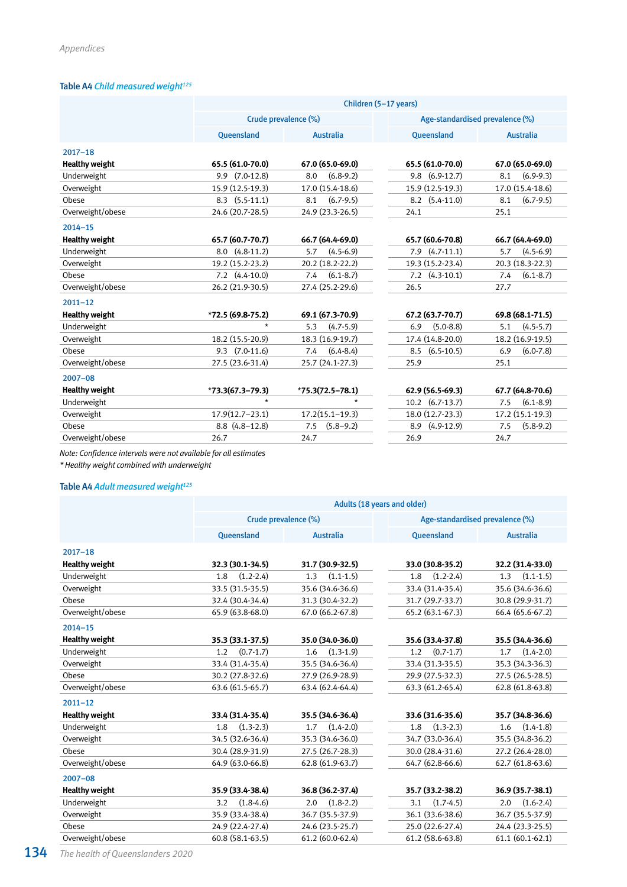## Table A4 Child measured weight<sup>125</sup>

|                       | Children (5-17 years) |                      |                                 |                      |  |  |  |  |  |
|-----------------------|-----------------------|----------------------|---------------------------------|----------------------|--|--|--|--|--|
|                       |                       | Crude prevalence (%) | Age-standardised prevalence (%) |                      |  |  |  |  |  |
|                       | <b>Oueensland</b>     | <b>Australia</b>     | <b>Oueensland</b>               | <b>Australia</b>     |  |  |  |  |  |
| $2017 - 18$           |                       |                      |                                 |                      |  |  |  |  |  |
| <b>Healthy weight</b> | 65.5 (61.0-70.0)      | 67.0 (65.0-69.0)     | 65.5 (61.0-70.0)                | 67.0 (65.0-69.0)     |  |  |  |  |  |
| Underweight           | $9.9$ $(7.0-12.8)$    | $(6.8-9.2)$<br>8.0   | $9.8$ $(6.9-12.7)$              | $(6.9-9.3)$<br>8.1   |  |  |  |  |  |
| Overweight            | 15.9 (12.5-19.3)      | 17.0 (15.4-18.6)     | 15.9 (12.5-19.3)                | 17.0 (15.4-18.6)     |  |  |  |  |  |
| Obese                 | $8.3$ $(5.5-11.1)$    | $(6.7-9.5)$<br>8.1   | 8.2<br>$(5.4 - 11.0)$           | 8.1<br>$(6.7-9.5)$   |  |  |  |  |  |
| Overweight/obese      | 24.6 (20.7-28.5)      | 24.9 (23.3-26.5)     | 24.1                            | 25.1                 |  |  |  |  |  |
| $2014 - 15$           |                       |                      |                                 |                      |  |  |  |  |  |
| <b>Healthy weight</b> | 65.7 (60.7-70.7)      | 66.7 (64.4-69.0)     | 65.7 (60.6-70.8)                | 66.7 (64.4-69.0)     |  |  |  |  |  |
| Underweight           | $8.0(4.8-11.2)$       | $(4.5 - 6.9)$<br>5.7 | $7.9$ $(4.7-11.1)$              | $(4.5-6.9)$<br>5.7   |  |  |  |  |  |
| Overweight            | 19.2 (15.2-23.2)      | 20.2 (18.2-22.2)     | 19.3 (15.2-23.4)                | 20.3 (18.3-22.3)     |  |  |  |  |  |
| Obese                 | $7.2$ $(4.4-10.0)$    | $(6.1 - 8.7)$<br>7.4 | $(4.3-10.1)$<br>7.2             | $(6.1 - 8.7)$<br>7.4 |  |  |  |  |  |
| Overweight/obese      | 26.2 (21.9-30.5)      | 27.4 (25.2-29.6)     | 26.5                            | 27.7                 |  |  |  |  |  |
| $2011 - 12$           |                       |                      |                                 |                      |  |  |  |  |  |
| <b>Healthy weight</b> | $*72.5(69.8-75.2)$    | 69.1 (67.3-70.9)     | 67.2 (63.7-70.7)                | 69.8 (68.1-71.5)     |  |  |  |  |  |
| Underweight           | $\star$               | $(4.7-5.9)$<br>5.3   | $(5.0 - 8.8)$<br>6.9            | $(4.5 - 5.7)$<br>5.1 |  |  |  |  |  |
| Overweight            | 18.2 (15.5-20.9)      | 18.3 (16.9-19.7)     | 17.4 (14.8-20.0)                | 18.2 (16.9-19.5)     |  |  |  |  |  |
| Obese                 | $9.3$ $(7.0-11.6)$    | $(6.4 - 8.4)$<br>7.4 | $(6.5-10.5)$<br>8.5             | $(6.0 - 7.8)$<br>6.9 |  |  |  |  |  |
| Overweight/obese      | 27.5 (23.6-31.4)      | 25.7 (24.1-27.3)     | 25.9                            | 25.1                 |  |  |  |  |  |
| $2007 - 08$           |                       |                      |                                 |                      |  |  |  |  |  |
| <b>Healthy weight</b> | $*73.3(67.3 - 79.3)$  | $*75.3(72.5 - 78.1)$ | 62.9 (56.5-69.3)                | 67.7 (64.8-70.6)     |  |  |  |  |  |
| Underweight           | $\star$               | $\star$              | $10.2$ $(6.7-13.7)$             | $(6.1 - 8.9)$<br>7.5 |  |  |  |  |  |
| Overweight            | $17.9(12.7 - 23.1)$   | $17.2(15.1 - 19.3)$  | 18.0 (12.7-23.3)                | 17.2 (15.1-19.3)     |  |  |  |  |  |
| Obese                 | $8.8(4.8-12.8)$       | $(5.8 - 9.2)$<br>7.5 | $(4.9-12.9)$<br>8.9             | $(5.8-9.2)$<br>7.5   |  |  |  |  |  |
| Overweight/obese      | 26.7                  | 24.7                 | 26.9                            | 24.7                 |  |  |  |  |  |

*Note: Confidence intervals were not available for all estimates*

*\* Healthy weight combined with underweight*

# Table A4 Adult measured weight<sup>125</sup>

|                       | Adults (18 years and older) |                      |                                 |                      |  |  |  |  |
|-----------------------|-----------------------------|----------------------|---------------------------------|----------------------|--|--|--|--|
|                       |                             | Crude prevalence (%) | Age-standardised prevalence (%) |                      |  |  |  |  |
|                       | Queensland                  | <b>Australia</b>     | Queensland                      | <b>Australia</b>     |  |  |  |  |
| $2017 - 18$           |                             |                      |                                 |                      |  |  |  |  |
| <b>Healthy weight</b> | 32.3 (30.1-34.5)            | 31.7 (30.9-32.5)     | 33.0 (30.8-35.2)                | 32.2 (31.4-33.0)     |  |  |  |  |
| Underweight           | $(1.2 - 2.4)$<br>1.8        | $(1.1-1.5)$<br>1.3   | $(1.2 - 2.4)$<br>1.8            | $(1.1-1.5)$<br>1.3   |  |  |  |  |
| Overweight            | 33.5 (31.5-35.5)            | 35.6 (34.6-36.6)     | 33.4 (31.4-35.4)                | 35.6 (34.6-36.6)     |  |  |  |  |
| Obese                 | 32.4 (30.4-34.4)            | 31.3 (30.4-32.2)     | 31.7 (29.7-33.7)                | 30.8 (29.9-31.7)     |  |  |  |  |
| Overweight/obese      | 65.9 (63.8-68.0)            | 67.0 (66.2-67.8)     | 65.2 (63.1-67.3)                | 66.4 (65.6-67.2)     |  |  |  |  |
| $2014 - 15$           |                             |                      |                                 |                      |  |  |  |  |
| <b>Healthy weight</b> | 35.3 (33.1-37.5)            | 35.0 (34.0-36.0)     | 35.6 (33.4-37.8)                | 35.5 (34.4-36.6)     |  |  |  |  |
| Underweight           | $(0.7 - 1.7)$<br>1.2        | $(1.3-1.9)$<br>1.6   | $(0.7-1.7)$<br>1.2              | $(1.4 - 2.0)$<br>1.7 |  |  |  |  |
| Overweight            | 33.4 (31.4-35.4)            | 35.5 (34.6-36.4)     | 33.4 (31.3-35.5)                | 35.3 (34.3-36.3)     |  |  |  |  |
| Obese                 | 30.2 (27.8-32.6)            | 27.9 (26.9-28.9)     | 29.9 (27.5-32.3)                | 27.5 (26.5-28.5)     |  |  |  |  |
| Overweight/obese      | 63.6 (61.5-65.7)            | 63.4 (62.4-64.4)     | 63.3 (61.2-65.4)                | 62.8 (61.8-63.8)     |  |  |  |  |
| $2011 - 12$           |                             |                      |                                 |                      |  |  |  |  |
| <b>Healthy weight</b> | 33.4 (31.4-35.4)            | 35.5 (34.6-36.4)     | 33.6 (31.6-35.6)                | 35.7 (34.8-36.6)     |  |  |  |  |
| Underweight           | $(1.3-2.3)$<br>1.8          | $(1.4 - 2.0)$<br>1.7 | $(1.3-2.3)$<br>1.8              | $(1.4-1.8)$<br>1.6   |  |  |  |  |
| Overweight            | 34.5 (32.6-36.4)            | 35.3 (34.6-36.0)     | 34.7 (33.0-36.4)                | 35.5 (34.8-36.2)     |  |  |  |  |
| Obese                 | 30.4 (28.9-31.9)            | 27.5 (26.7-28.3)     | 30.0 (28.4-31.6)                | 27.2 (26.4-28.0)     |  |  |  |  |
| Overweight/obese      | 64.9 (63.0-66.8)            | 62.8 (61.9-63.7)     | 64.7 (62.8-66.6)                | 62.7 (61.8-63.6)     |  |  |  |  |
| $2007 - 08$           |                             |                      |                                 |                      |  |  |  |  |
| <b>Healthy weight</b> | 35.9 (33.4-38.4)            | 36.8 (36.2-37.4)     | 35.7 (33.2-38.2)                | 36.9 (35.7-38.1)     |  |  |  |  |
| Underweight           | $(1.8-4.6)$<br>3.2          | $(1.8-2.2)$<br>2.0   | $(1.7-4.5)$<br>3.1              | $(1.6 - 2.4)$<br>2.0 |  |  |  |  |
| Overweight            | 35.9 (33.4-38.4)            | 36.7 (35.5-37.9)     | 36.1 (33.6-38.6)                | 36.7 (35.5-37.9)     |  |  |  |  |
| Obese                 | 24.9 (22.4-27.4)            | 24.6 (23.5-25.7)     | 25.0 (22.6-27.4)                | 24.4 (23.3-25.5)     |  |  |  |  |
| Overweight/obese      | $60.8(58.1-63.5)$           | $61.2(60.0-62.4)$    | 61.2 (58.6-63.8)                | $61.1 (60.1 - 62.1)$ |  |  |  |  |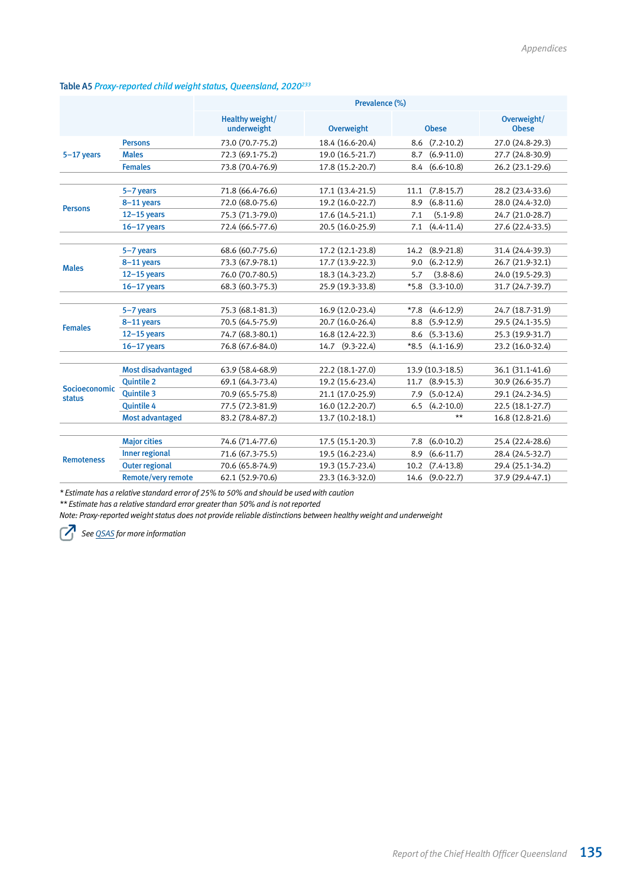#### Table A5 *Proxy-reported child weight status, Queensland, 2020233*

|                   |                           | Prevalence (%)                 |                   |                          |                             |  |  |  |
|-------------------|---------------------------|--------------------------------|-------------------|--------------------------|-----------------------------|--|--|--|
|                   |                           | Healthy weight/<br>underweight | <b>Overweight</b> | <b>Obese</b>             | Overweight/<br><b>Obese</b> |  |  |  |
|                   | <b>Persons</b>            | 73.0 (70.7-75.2)               | 18.4 (16.6-20.4)  | $(7.2 - 10.2)$<br>8.6    | 27.0 (24.8-29.3)            |  |  |  |
| $5-17$ years      | <b>Males</b>              | 72.3 (69.1-75.2)               | 19.0 (16.5-21.7)  | $(6.9-11.0)$<br>8.7      | 27.7 (24.8-30.9)            |  |  |  |
|                   | <b>Females</b>            | 73.8 (70.4-76.9)               | 17.8 (15.2-20.7)  | $(6.6 - 10.8)$<br>8.4    | 26.2 (23.1-29.6)            |  |  |  |
|                   |                           |                                |                   |                          |                             |  |  |  |
|                   | 5-7 years                 | 71.8 (66.4-76.6)               | 17.1 (13.4-21.5)  | $(7.8-15.7)$<br>11.1     | 28.2 (23.4-33.6)            |  |  |  |
| <b>Persons</b>    | 8-11 years                | 72.0 (68.0-75.6)               | 19.2 (16.0-22.7)  | $(6.8 - 11.6)$<br>8.9    | 28.0 (24.4-32.0)            |  |  |  |
|                   | $12-15$ years             | 75.3 (71.3-79.0)               | 17.6 (14.5-21.1)  | $(5.1 - 9.8)$<br>7.1     | 24.7 (21.0-28.7)            |  |  |  |
|                   | $16-17$ years             | 72.4 (66.5-77.6)               | 20.5 (16.0-25.9)  | $(4.4 - 11.4)$<br>7.1    | 27.6 (22.4-33.5)            |  |  |  |
|                   |                           |                                |                   |                          |                             |  |  |  |
|                   | 5-7 years                 | 68.6 (60.7-75.6)               | 17.2 (12.1-23.8)  | $(8.9 - 21.8)$<br>14.2   | 31.4 (24.4-39.3)            |  |  |  |
| <b>Males</b>      | 8-11 years                | 73.3 (67.9-78.1)               | 17.7 (13.9-22.3)  | $(6.2 - 12.9)$<br>9.0    | 26.7 (21.9-32.1)            |  |  |  |
|                   | $12-15$ years             | 76.0 (70.7-80.5)               | 18.3 (14.3-23.2)  | $(3.8 - 8.6)$<br>5.7     | 24.0 (19.5-29.3)            |  |  |  |
|                   | $16-17$ years             | 68.3 (60.3-75.3)               | 25.9 (19.3-33.8)  | $(3.3-10.0)$<br>$*5.8$   | 31.7 (24.7-39.7)            |  |  |  |
|                   |                           |                                |                   |                          |                             |  |  |  |
|                   | 5-7 years                 | 75.3 (68.1-81.3)               | 16.9 (12.0-23.4)  | $(4.6-12.9)$<br>$*7.8$   | 24.7 (18.7-31.9)            |  |  |  |
| <b>Females</b>    | 8-11 years                | 70.5 (64.5-75.9)               | 20.7 (16.0-26.4)  | $(5.9-12.9)$<br>8.8      | 29.5 (24.1-35.5)            |  |  |  |
|                   | $12-15$ years             | 74.7 (68.3-80.1)               | 16.8 (12.4-22.3)  | $(5.3-13.6)$<br>8.6      | 25.3 (19.9-31.7)            |  |  |  |
|                   | $16-17$ years             | 76.8 (67.6-84.0)               | 14.7 (9.3-22.4)   | $*8.5$<br>$(4.1 - 16.9)$ | 23.2 (16.0-32.4)            |  |  |  |
|                   |                           |                                |                   |                          |                             |  |  |  |
|                   | <b>Most disadvantaged</b> | 63.9 (58.4-68.9)               | 22.2 (18.1-27.0)  | 13.9 (10.3-18.5)         | 36.1 (31.1-41.6)            |  |  |  |
| Socioeconomic     | <b>Ouintile 2</b>         | 69.1 (64.3-73.4)               | 19.2 (15.6-23.4)  | $(8.9 - 15.3)$<br>11.7   | 30.9 (26.6-35.7)            |  |  |  |
| status            | <b>Ouintile 3</b>         | 70.9 (65.5-75.8)               | 21.1 (17.0-25.9)  | $(5.0-12.4)$<br>7.9      | 29.1 (24.2-34.5)            |  |  |  |
|                   | <b>Quintile 4</b>         | 77.5 (72.3-81.9)               | 16.0 (12.2-20.7)  | $(4.2 - 10.0)$<br>6.5    | 22.5 (18.1-27.7)            |  |  |  |
|                   | <b>Most advantaged</b>    | 83.2 (78.4-87.2)               | 13.7 (10.2-18.1)  | $**$                     | 16.8 (12.8-21.6)            |  |  |  |
|                   |                           |                                |                   |                          |                             |  |  |  |
|                   | <b>Major cities</b>       | 74.6 (71.4-77.6)               | 17.5 (15.1-20.3)  | $(6.0-10.2)$<br>7.8      | 25.4 (22.4-28.6)            |  |  |  |
| <b>Remoteness</b> | <b>Inner regional</b>     | 71.6 (67.3-75.5)               | 19.5 (16.2-23.4)  | $(6.6-11.7)$<br>8.9      | 28.4 (24.5-32.7)            |  |  |  |
|                   | <b>Outer regional</b>     | 70.6 (65.8-74.9)               | 19.3 (15.7-23.4)  | $(7.4-13.8)$<br>10.2     | 29.4 (25.1-34.2)            |  |  |  |
|                   | <b>Remote/very remote</b> | 62.1 (52.9-70.6)               | 23.3 (16.3-32.0)  | 14.6<br>$(9.0-22.7)$     | 37.9 (29.4-47.1)            |  |  |  |

*\* Estimate has a relative standard error of 25% to 50% and should be used with caution*

*\*\* Estimate has a relative standard error greater than 50% and is not reported*

*Note: Proxy-reported weight status does not provide reliable distinctions between healthy weight and underweight*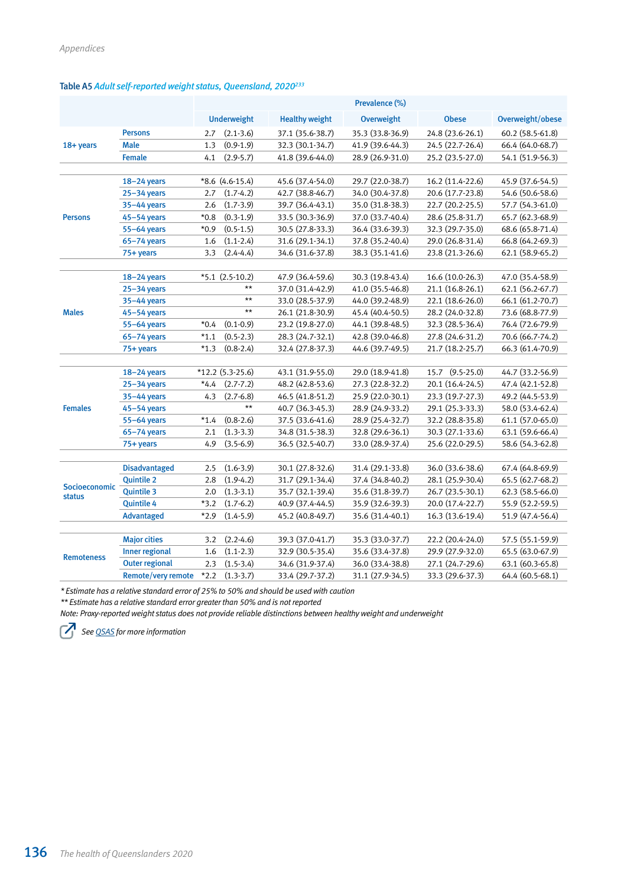# Table A5 *Adult self-reported weight status, Queensland, 2020233*

|                   |                           |        |                    |                       | Prevalence (%)   |                  |                  |
|-------------------|---------------------------|--------|--------------------|-----------------------|------------------|------------------|------------------|
|                   |                           |        | <b>Underweight</b> | <b>Healthy weight</b> | Overweight       | <b>Obese</b>     | Overweight/obese |
|                   | <b>Persons</b>            | 2.7    | $(2.1 - 3.6)$      | 37.1 (35.6-38.7)      | 35.3 (33.8-36.9) | 24.8 (23.6-26.1) | 60.2 (58.5-61.8) |
| 18+ years         | <b>Male</b>               | 1.3    | $(0.9-1.9)$        | 32.3 (30.1-34.7)      | 41.9 (39.6-44.3) | 24.5 (22.7-26.4) | 66.4 (64.0-68.7) |
|                   | <b>Female</b>             | 4.1    | $(2.9 - 5.7)$      | 41.8 (39.6-44.0)      | 28.9 (26.9-31.0) | 25.2 (23.5-27.0) | 54.1 (51.9-56.3) |
|                   |                           |        |                    |                       |                  |                  |                  |
|                   | $18 - 24$ years           |        | $*8.6(4.6-15.4)$   | 45.6 (37.4-54.0)      | 29.7 (22.0-38.7) | 16.2 (11.4-22.6) | 45.9 (37.6-54.5) |
|                   | $25 - 34$ years           | 2.7    | $(1.7-4.2)$        | 42.7 (38.8-46.7)      | 34.0 (30.4-37.8) | 20.6 (17.7-23.8) | 54.6 (50.6-58.6) |
|                   | 35-44 years               | 2.6    | $(1.7-3.9)$        | 39.7 (36.4-43.1)      | 35.0 (31.8-38.3) | 22.7 (20.2-25.5) | 57.7 (54.3-61.0) |
| <b>Persons</b>    | $45 - 54$ years           | $*0.8$ | $(0.3-1.9)$        | 33.5 (30.3-36.9)      | 37.0 (33.7-40.4) | 28.6 (25.8-31.7) | 65.7 (62.3-68.9) |
|                   | 55-64 years               | $*0.9$ | $(0.5 - 1.5)$      | 30.5 (27.8-33.3)      | 36.4 (33.6-39.3) | 32.3 (29.7-35.0) | 68.6 (65.8-71.4) |
|                   | $65 - 74$ years           | 1.6    | $(1.1 - 2.4)$      | 31.6 (29.1-34.1)      | 37.8 (35.2-40.4) | 29.0 (26.8-31.4) | 66.8 (64.2-69.3) |
|                   | 75+ years                 | 3.3    | $(2.4 - 4.4)$      | 34.6 (31.6-37.8)      | 38.3 (35.1-41.6) | 23.8 (21.3-26.6) | 62.1 (58.9-65.2) |
|                   |                           |        |                    |                       |                  |                  |                  |
|                   | $18 - 24$ years           |        | $*5.1(2.5-10.2)$   | 47.9 (36.4-59.6)      | 30.3 (19.8-43.4) | 16.6 (10.0-26.3) | 47.0 (35.4-58.9) |
|                   | $25 - 34$ years           |        | **                 | 37.0 (31.4-42.9)      | 41.0 (35.5-46.8) | 21.1 (16.8-26.1) | 62.1 (56.2-67.7) |
|                   | $35 - 44$ years           |        | $***$              | 33.0 (28.5-37.9)      | 44.0 (39.2-48.9) | 22.1 (18.6-26.0) | 66.1 (61.2-70.7) |
| <b>Males</b>      | $45 - 54$ years           |        | $\star\star$       | 26.1 (21.8-30.9)      | 45.4 (40.4-50.5) | 28.2 (24.0-32.8) | 73.6 (68.8-77.9) |
|                   | 55-64 years               | $*0.4$ | $(0.1 - 0.9)$      | 23.2 (19.8-27.0)      | 44.1 (39.8-48.5) | 32.3 (28.5-36.4) | 76.4 (72.6-79.9) |
|                   | $65 - 74$ years           | $*1.1$ | $(0.5 - 2.3)$      | 28.3 (24.7-32.1)      | 42.8 (39.0-46.8) | 27.8 (24.6-31.2) | 70.6 (66.7-74.2) |
|                   | 75+ years                 | $*1.3$ | $(0.8 - 2.4)$      | 32.4 (27.8-37.3)      | 44.6 (39.7-49.5) | 21.7 (18.2-25.7) | 66.3 (61.4-70.9) |
|                   |                           |        |                    |                       |                  |                  |                  |
|                   | $18 - 24$ years           |        | $*12.2$ (5.3-25.6) | 43.1 (31.9-55.0)      | 29.0 (18.9-41.8) | 15.7 (9.5-25.0)  | 44.7 (33.2-56.9) |
|                   | $25 - 34$ years           | $*4.4$ | $(2.7 - 7.2)$      | 48.2 (42.8-53.6)      | 27.3 (22.8-32.2) | 20.1 (16.4-24.5) | 47.4 (42.1-52.8) |
|                   | 35-44 years               | 4.3    | $(2.7 - 6.8)$      | 46.5 (41.8-51.2)      | 25.9 (22.0-30.1) | 23.3 (19.7-27.3) | 49.2 (44.5-53.9) |
| <b>Females</b>    | $45 - 54$ years           |        | $^{\star\star}$    | 40.7 (36.3-45.3)      | 28.9 (24.9-33.2) | 29.1 (25.3-33.3) | 58.0 (53.4-62.4) |
|                   | $55-64$ years             | $*1.4$ | $(0.8-2.6)$        | 37.5 (33.6-41.6)      | 28.9 (25.4-32.7) | 32.2 (28.8-35.8) | 61.1 (57.0-65.0) |
|                   | $65 - 74$ years           | 2.1    | $(1.3-3.3)$        | 34.8 (31.5-38.3)      | 32.8 (29.6-36.1) | 30.3 (27.1-33.6) | 63.1 (59.6-66.4) |
|                   | 75+ years                 | 4.9    | $(3.5 - 6.9)$      | 36.5 (32.5-40.7)      | 33.0 (28.9-37.4) | 25.6 (22.0-29.5) | 58.6 (54.3-62.8) |
|                   |                           |        |                    |                       |                  |                  |                  |
|                   | <b>Disadvantaged</b>      | 2.5    | $(1.6 - 3.9)$      | 30.1 (27.8-32.6)      | 31.4 (29.1-33.8) | 36.0 (33.6-38.6) | 67.4 (64.8-69.9) |
| Socioeconomic     | <b>Quintile 2</b>         | 2.8    | $(1.9-4.2)$        | 31.7 (29.1-34.4)      | 37.4 (34.8-40.2) | 28.1 (25.9-30.4) | 65.5 (62.7-68.2) |
| <b>status</b>     | <b>Quintile 3</b>         | 2.0    | $(1.3-3.1)$        | 35.7 (32.1-39.4)      | 35.6 (31.8-39.7) | 26.7 (23.5-30.1) | 62.3 (58.5-66.0) |
|                   | <b>Quintile 4</b>         | $*3.2$ | $(1.7-6.2)$        | 40.9 (37.4-44.5)      | 35.9 (32.6-39.3) | 20.0 (17.4-22.7) | 55.9 (52.2-59.5) |
|                   | <b>Advantaged</b>         | $*2.9$ | $(1.4 - 5.9)$      | 45.2 (40.8-49.7)      | 35.6 (31.4-40.1) | 16.3 (13.6-19.4) | 51.9 (47.4-56.4) |
|                   |                           |        |                    |                       |                  |                  |                  |
|                   | <b>Major cities</b>       | 3.2    | $(2.2 - 4.6)$      | 39.3 (37.0-41.7)      | 35.3 (33.0-37.7) | 22.2 (20.4-24.0) | 57.5 (55.1-59.9) |
| <b>Remoteness</b> | <b>Inner regional</b>     | 1.6    | $(1.1-2.3)$        | 32.9 (30.5-35.4)      | 35.6 (33.4-37.8) | 29.9 (27.9-32.0) | 65.5 (63.0-67.9) |
|                   | <b>Outer regional</b>     | 2.3    | $(1.5-3.4)$        | 34.6 (31.9-37.4)      | 36.0 (33.4-38.8) | 27.1 (24.7-29.6) | 63.1 (60.3-65.8) |
|                   | <b>Remote/very remote</b> | $*2.2$ | $(1.3-3.7)$        | 33.4 (29.7-37.2)      | 31.1 (27.9-34.5) | 33.3 (29.6-37.3) | 64.4 (60.5-68.1) |

*\* Estimate has a relative standard error of 25% to 50% and should be used with caution*

*\*\* Estimate has a relative standard error greater than 50% and is not reported*

*Note: Proxy-reported weight status does not provide reliable distinctions between healthy weight and underweight*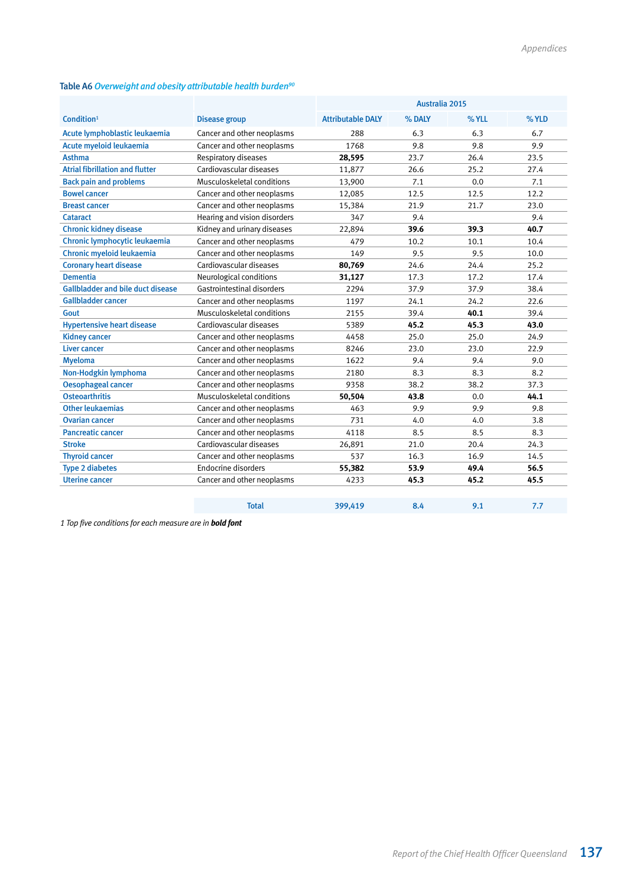## Table A6 *Overweight and obesity attributable health burden90*

|                                          |                              | Australia 2015           |        |       |       |
|------------------------------------------|------------------------------|--------------------------|--------|-------|-------|
| Condition <sup>1</sup>                   | <b>Disease group</b>         | <b>Attributable DALY</b> | % DALY | % YLL | % YLD |
| Acute lymphoblastic leukaemia            | Cancer and other neoplasms   | 288                      | 6.3    | 6.3   | 6.7   |
| Acute myeloid leukaemia                  | Cancer and other neoplasms   | 1768                     | 9.8    | 9.8   | 9.9   |
| <b>Asthma</b>                            | Respiratory diseases         | 28,595                   | 23.7   | 26.4  | 23.5  |
| <b>Atrial fibrillation and flutter</b>   | Cardiovascular diseases      | 11,877                   | 26.6   | 25.2  | 27.4  |
| <b>Back pain and problems</b>            | Musculoskeletal conditions   | 13,900                   | 7.1    | 0.0   | 7.1   |
| <b>Bowel cancer</b>                      | Cancer and other neoplasms   | 12,085                   | 12.5   | 12.5  | 12.2  |
| <b>Breast cancer</b>                     | Cancer and other neoplasms   | 15,384                   | 21.9   | 21.7  | 23.0  |
| <b>Cataract</b>                          | Hearing and vision disorders | 347                      | 9.4    |       | 9.4   |
| <b>Chronic kidney disease</b>            | Kidney and urinary diseases  | 22,894                   | 39.6   | 39.3  | 40.7  |
| Chronic lymphocytic leukaemia            | Cancer and other neoplasms   | 479                      | 10.2   | 10.1  | 10.4  |
| Chronic myeloid leukaemia                | Cancer and other neoplasms   | 149                      | 9.5    | 9.5   | 10.0  |
| <b>Coronary heart disease</b>            | Cardiovascular diseases      | 80,769                   | 24.6   | 24.4  | 25.2  |
| <b>Dementia</b>                          | Neurological conditions      | 31,127                   | 17.3   | 17.2  | 17.4  |
| <b>Gallbladder and bile duct disease</b> | Gastrointestinal disorders   | 2294                     | 37.9   | 37.9  | 38.4  |
| <b>Gallbladder cancer</b>                | Cancer and other neoplasms   | 1197                     | 24.1   | 24.2  | 22.6  |
| Gout                                     | Musculoskeletal conditions   | 2155                     | 39.4   | 40.1  | 39.4  |
| <b>Hypertensive heart disease</b>        | Cardiovascular diseases      | 5389                     | 45.2   | 45.3  | 43.0  |
| <b>Kidney cancer</b>                     | Cancer and other neoplasms   | 4458                     | 25.0   | 25.0  | 24.9  |
| <b>Liver cancer</b>                      | Cancer and other neoplasms   | 8246                     | 23.0   | 23.0  | 22.9  |
| <b>Myeloma</b>                           | Cancer and other neoplasms   | 1622                     | 9.4    | 9.4   | 9.0   |
| Non-Hodgkin lymphoma                     | Cancer and other neoplasms   | 2180                     | 8.3    | 8.3   | 8.2   |
| <b>Oesophageal cancer</b>                | Cancer and other neoplasms   | 9358                     | 38.2   | 38.2  | 37.3  |
| <b>Osteoarthritis</b>                    | Musculoskeletal conditions   | 50,504                   | 43.8   | 0.0   | 44.1  |
| <b>Other leukaemias</b>                  | Cancer and other neoplasms   | 463                      | 9.9    | 9.9   | 9.8   |
| <b>Ovarian cancer</b>                    | Cancer and other neoplasms   | 731                      | 4.0    | 4.0   | 3.8   |
| <b>Pancreatic cancer</b>                 | Cancer and other neoplasms   | 4118                     | 8.5    | 8.5   | 8.3   |
| <b>Stroke</b>                            | Cardiovascular diseases      | 26,891                   | 21.0   | 20.4  | 24.3  |
| <b>Thyroid cancer</b>                    | Cancer and other neoplasms   | 537                      | 16.3   | 16.9  | 14.5  |
| <b>Type 2 diabetes</b>                   | Endocrine disorders          | 55,382                   | 53.9   | 49.4  | 56.5  |
| <b>Uterine cancer</b>                    | Cancer and other neoplasms   | 4233                     | 45.3   | 45.2  | 45.5  |
|                                          |                              |                          |        |       |       |

Total 399,419 8.4 9.1 7.7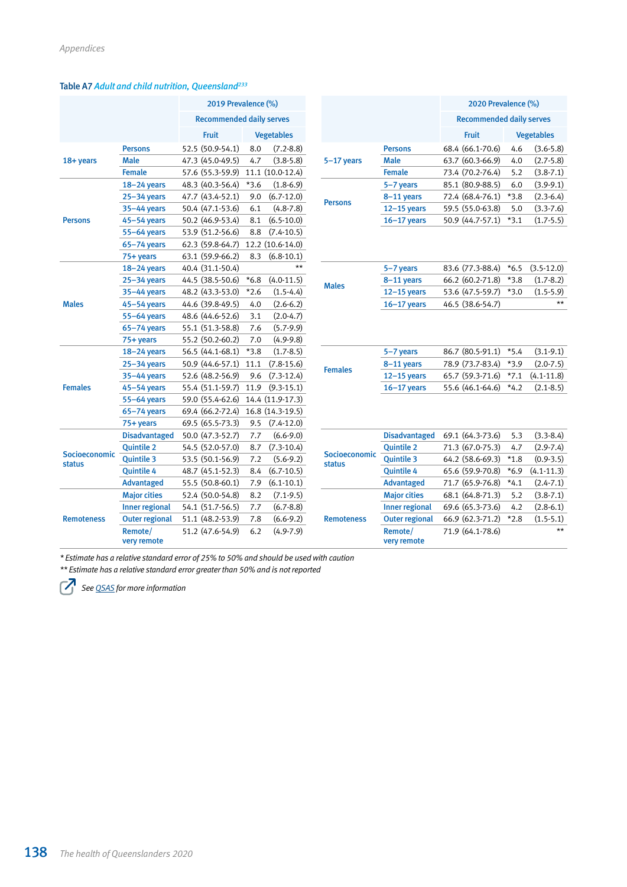## Table A7 *Adult and child nutrition, Queensland233*

|                   |                        | 2019 Prevalence (%)             |        |                   |                   |                     |
|-------------------|------------------------|---------------------------------|--------|-------------------|-------------------|---------------------|
|                   |                        | <b>Recommended daily serves</b> |        |                   |                   |                     |
|                   |                        | <b>Fruit</b>                    |        | <b>Vegetables</b> |                   |                     |
|                   | <b>Persons</b>         | 52.5 (50.9-54.1)                | 8.0    | $(7.2 - 8.8)$     |                   | <b>Persons</b>      |
| 18+ years         | <b>Male</b>            | 47.3 (45.0-49.5)                | 4.7    | $(3.8-5.8)$       | 5-17 years        | Male                |
|                   | <b>Female</b>          | 57.6 (55.3-59.9)                |        | 11.1 (10.0-12.4)  |                   | <b>Female</b>       |
|                   | $18 - 24$ years        | 48.3 (40.3-56.4)                | $*3.6$ | $(1.8-6.9)$       |                   | $5 - 7$ year        |
|                   | $25 - 34$ years        | 47.7 (43.4-52.1)                | 9.0    | $(6.7 - 12.0)$    |                   | $8-11$ yea          |
|                   | 35–44 years            | 50.4 (47.1-53.6)                | 6.1    | $(4.8 - 7.8)$     | <b>Persons</b>    | $12 - 15$ ye        |
| <b>Persons</b>    | 45–54 years            | 50.2 (46.9-53.4)                | 8.1    | $(6.5-10.0)$      |                   | $16 - 17$ ye        |
|                   | 55–64 years            | 53.9 (51.2-56.6)                | 8.8    | $(7.4 - 10.5)$    |                   |                     |
|                   | $65 - 74$ years        | 62.3 (59.8-64.7)                |        | 12.2 (10.6-14.0)  |                   |                     |
|                   | 75+ years              | 63.1 (59.9-66.2)                | 8.3    | $(6.8 - 10.1)$    |                   |                     |
|                   | $18 - 24$ years        | 40.4 (31.1-50.4)                |        | $***$             |                   | $5 - 7$ year        |
|                   | 25–34 years            | 44.5 (38.5-50.6)                | $*6.8$ | $(4.0-11.5)$      |                   | 8-11 yea            |
|                   | 35-44 years            | 48.2 (43.3-53.0)                | $*2.6$ | $(1.5-4.4)$       | <b>Males</b>      | $12 - 15$ y         |
| <b>Males</b>      | $45 - 54$ years        | 44.6 (39.8-49.5)                | 4.0    | $(2.6-6.2)$       |                   | $16 - 17$ y         |
|                   | 55-64 years            | 48.6 (44.6-52.6)                | 3.1    | $(2.0-4.7)$       |                   |                     |
|                   | $65 - 74$ years        | 55.1 (51.3-58.8)                | 7.6    | $(5.7-9.9)$       |                   |                     |
|                   | 75+ years              | 55.2 (50.2-60.2)                | 7.0    | $(4.9-9.8)$       |                   |                     |
|                   | $18 - 24$ years        | 56.5 (44.1-68.1)                | $*3.8$ | $(1.7-8.5)$       |                   | $5 - 7$ year        |
|                   | 25–34 years            | 50.9 (44.6-57.1)                | 11.1   | $(7.8-15.6)$      |                   | $8-11$ yea          |
|                   | $35 - 44$ years        | 52.6 (48.2-56.9)                | 9.6    | $(7.3-12.4)$      | <b>Females</b>    | $12 - 15$ ye        |
| <b>Females</b>    | $45 - 54$ years        | 55.4 (51.1-59.7)                | 11.9   | $(9.3-15.1)$      |                   | $16 - 17$ y         |
|                   | 55–64 years            | 59.0 (55.4-62.6)                |        | 14.4 (11.9-17.3)  |                   |                     |
|                   | $65 - 74$ years        | 69.4 (66.2-72.4)                |        | 16.8 (14.3-19.5)  |                   |                     |
|                   | 75+ years              | 69.5 (65.5-73.3)                | 9.5    | $(7.4 - 12.0)$    |                   |                     |
|                   | <b>Disadvantaged</b>   | 50.0 (47.3-52.7)                | 7.7    | $(6.6-9.0)$       |                   | <b>Disadvar</b>     |
|                   | <b>Quintile 2</b>      | 54.5 (52.0-57.0)                | 8.7    | $(7.3-10.4)$      |                   | Quintile            |
| Socioeconomic     | <b>Quintile 3</b>      | 53.5 (50.1-56.9)                | 7.2    | $(5.6-9.2)$       | Socioeconomic     | Quintile            |
| <b>status</b>     | <b>Quintile 4</b>      | 48.7 (45.1-52.3)                | 8.4    | $(6.7-10.5)$      | <b>status</b>     | Quintile            |
|                   | <b>Advantaged</b>      | 55.5 (50.8-60.1)                | 7.9    | $(6.1 - 10.1)$    |                   | <b>Advanta</b>      |
|                   | <b>Major cities</b>    | 52.4 (50.0-54.8)                | 8.2    | $(7.1-9.5)$       |                   | <b>Major cit</b>    |
|                   | <b>Inner regional</b>  | 54.1 (51.7-56.5)                | 7.7    | $(6.7 - 8.8)$     |                   | <b>Inner reg</b>    |
| <b>Remoteness</b> | <b>Outer regional</b>  | 51.1 (48.2-53.9)                | 7.8    | $(6.6-9.2)$       | <b>Remoteness</b> | Outer reg           |
|                   | Remote/<br>very remote | 51.2 (47.6-54.9)                | 6.2    | $(4.9 - 7.9)$     |                   | Remote/<br>very rem |

|                        | 2019 Prevalence (%)             |        |                   |                                | 2020 Prevalence (%)    |                                 |        |                   |
|------------------------|---------------------------------|--------|-------------------|--------------------------------|------------------------|---------------------------------|--------|-------------------|
|                        | <b>Recommended daily serves</b> |        |                   |                                |                        | <b>Recommended daily serves</b> |        |                   |
|                        | <b>Fruit</b>                    |        | <b>Vegetables</b> |                                |                        | <b>Fruit</b>                    |        | <b>Vegetables</b> |
| <b>Persons</b>         | 52.5 (50.9-54.1)                | 8.0    | $(7.2 - 8.8)$     |                                | <b>Persons</b>         | 68.4 (66.1-70.6)                | 4.6    | $(3.6 - 5.8)$     |
| <b>Male</b>            | 47.3 (45.0-49.5)                | 4.7    | $(3.8 - 5.8)$     | $5-17$ years                   | <b>Male</b>            | 63.7 (60.3-66.9)                | 4.0    | $(2.7 - 5.8)$     |
| <b>Female</b>          | 57.6 (55.3-59.9)                |        | 11.1 (10.0-12.4)  |                                | <b>Female</b>          | 73.4 (70.2-76.4)                | 5.2    | $(3.8 - 7.1)$     |
| $18 - 24$ years        | 48.3 (40.3-56.4)                | $*3.6$ | $(1.8-6.9)$       |                                | 5-7 years              | 85.1 (80.9-88.5)                | 6.0    | $(3.9-9.1)$       |
| 25–34 years            | 47.7 (43.4-52.1)                | 9.0    | $(6.7-12.0)$      | <b>Persons</b>                 | 8-11 years             | 72.4 (68.4-76.1)                | $*3.8$ | $(2.3-6.4)$       |
| 35-44 years            | 50.4 (47.1-53.6)                | 6.1    | $(4.8 - 7.8)$     |                                | $12-15$ years          | 59.5 (55.0-63.8)                | 5.0    | $(3.3 - 7.6)$     |
| 45-54 years            | 50.2 (46.9-53.4)                | 8.1    | $(6.5-10.0)$      |                                | $16-17$ years          | 50.9 (44.7-57.1)                | $*3.1$ | $(1.7-5.5)$       |
| 55-64 years            | 53.9 (51.2-56.6)                | 8.8    | $(7.4 - 10.5)$    |                                |                        |                                 |        |                   |
| 65-74 years            | 62.3 (59.8-64.7)                |        | 12.2 (10.6-14.0)  |                                |                        |                                 |        |                   |
| 75+ years              | 63.1 (59.9-66.2)                | 8.3    | $(6.8-10.1)$      |                                |                        |                                 |        |                   |
| $18 - 24$ years        | 40.4 (31.1-50.4)                |        | $\star\star$      |                                | 5-7 years              | 83.6 (77.3-88.4)                | $*6.5$ | $(3.5 - 12.0)$    |
| $25 - 34$ years        | 44.5 (38.5-50.6)                | $*6.8$ | $(4.0-11.5)$      | <b>Males</b>                   | 8-11 years             | 66.2 (60.2-71.8)                | $*3.8$ | $(1.7-8.2)$       |
| 35-44 years            | 48.2 (43.3-53.0)                | $*2.6$ | $(1.5-4.4)$       |                                | $12-15$ years          | 53.6 (47.5-59.7)                | $*3.0$ | $(1.5-5.9)$       |
| 45–54 years            | 44.6 (39.8-49.5)                | 4.0    | $(2.6-6.2)$       |                                | $16 - 17$ years        | 46.5 (38.6-54.7)                |        | $\star\star$      |
| 55-64 years            | 48.6 (44.6-52.6)                | 3.1    | $(2.0 - 4.7)$     |                                |                        |                                 |        |                   |
| $65 - 74$ years        | 55.1 (51.3-58.8)                | 7.6    | $(5.7-9.9)$       |                                |                        |                                 |        |                   |
| 75+ years              | 55.2 (50.2-60.2)                | 7.0    | $(4.9-9.8)$       |                                |                        |                                 |        |                   |
| $18 - 24$ years        | 56.5 (44.1-68.1)                | $*3.8$ | $(1.7-8.5)$       |                                | 5-7 years              | 86.7 (80.5-91.1)                | $*5.4$ | $(3.1 - 9.1)$     |
| $25 - 34$ years        | 50.9 (44.6-57.1)                | 11.1   | $(7.8 - 15.6)$    | <b>Females</b>                 | 8-11 years             | 78.9 (73.7-83.4)                | $*3.9$ | $(2.0 - 7.5)$     |
| 35-44 years            | 52.6 (48.2-56.9)                | 9.6    | $(7.3-12.4)$      |                                | $12-15$ years          | 65.7 (59.3-71.6)                | $*7.1$ | $(4.1 - 11.8)$    |
| 45-54 years            | 55.4 (51.1-59.7)                | 11.9   | $(9.3-15.1)$      |                                | $16-17$ years          | 55.6 (46.1-64.6)                | $*4.2$ | $(2.1 - 8.5)$     |
| 55-64 years            | 59.0 (55.4-62.6)                |        | 14.4 (11.9-17.3)  |                                |                        |                                 |        |                   |
| $65 - 74$ years        | 69.4 (66.2-72.4)                |        | 16.8 (14.3-19.5)  |                                |                        |                                 |        |                   |
| 75+ years              | 69.5 (65.5-73.3)                | 9.5    | $(7.4-12.0)$      |                                |                        |                                 |        |                   |
| <b>Disadvantaged</b>   | 50.0 (47.3-52.7)                | 7.7    | $(6.6-9.0)$       |                                | <b>Disadvantaged</b>   | 69.1 (64.3-73.6)                | 5.3    | $(3.3 - 8.4)$     |
| <b>Quintile 2</b>      | 54.5 (52.0-57.0)                | 8.7    | $(7.3-10.4)$      |                                | <b>Quintile 2</b>      | 71.3 (67.0-75.3)                | 4.7    | $(2.9 - 7.4)$     |
| <b>Quintile 3</b>      | 53.5 (50.1-56.9)                | 7.2    | $(5.6-9.2)$       | Socioeconomic<br><b>status</b> | <b>Quintile 3</b>      | 64.2 (58.6-69.3)                | $*1.8$ | $(0.9-3.5)$       |
| Quintile 4             | 48.7 (45.1-52.3)                | 8.4    | $(6.7 - 10.5)$    |                                | <b>Quintile 4</b>      | 65.6 (59.9-70.8)                | $*6.9$ | $(4.1 - 11.3)$    |
| <b>Advantaged</b>      | 55.5 (50.8-60.1)                | 7.9    | $(6.1 - 10.1)$    |                                | <b>Advantaged</b>      | 71.7 (65.9-76.8)                | $*4.1$ | $(2.4 - 7.1)$     |
| <b>Major cities</b>    | 52.4 (50.0-54.8)                | 8.2    | $(7.1-9.5)$       |                                | <b>Major cities</b>    | 68.1 (64.8-71.3)                | 5.2    | $(3.8 - 7.1)$     |
| <b>Inner regional</b>  | 54.1 (51.7-56.5)                | 7.7    | $(6.7 - 8.8)$     |                                | <b>Inner regional</b>  | 69.6 (65.3-73.6)                | 4.2    | $(2.8-6.1)$       |
| <b>Outer regional</b>  | 51.1 (48.2-53.9)                | 7.8    | $(6.6-9.2)$       | <b>Remoteness</b>              | <b>Outer regional</b>  | 66.9 (62.3-71.2)                | $*2.8$ | $(1.5-5.1)$       |
| Remote/<br>very remote | 51.2 (47.6-54.9)                | 6.2    | $(4.9 - 7.9)$     |                                | Remote/<br>very remote | 71.9 (64.1-78.6)                |        | $**$              |

*\* Estimate has a relative standard error of 25% to 50% and should be used with caution*

*\*\* Estimate has a relative standard error greater than 50% and is not reported*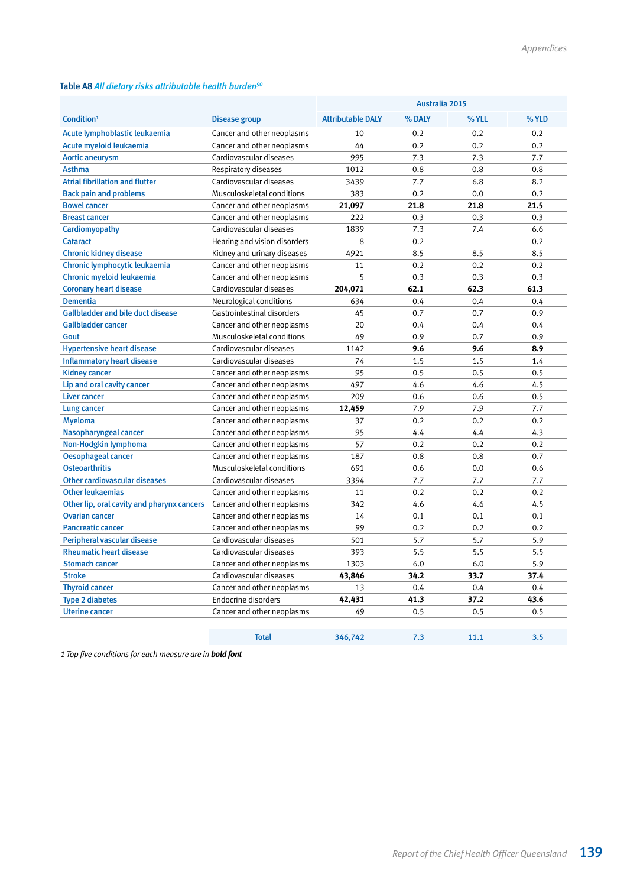## Table A8 *All dietary risks attributable health burden90*

|                                            |                              |                          | Australia 2015 |       |       |
|--------------------------------------------|------------------------------|--------------------------|----------------|-------|-------|
| Condition <sup>1</sup>                     | <b>Disease group</b>         | <b>Attributable DALY</b> | % DALY         | % YLL | % YLD |
| Acute lymphoblastic leukaemia              | Cancer and other neoplasms   | 10                       | 0.2            | 0.2   | 0.2   |
| Acute myeloid leukaemia                    | Cancer and other neoplasms   | 44                       | 0.2            | 0.2   | 0.2   |
| <b>Aortic aneurysm</b>                     | Cardiovascular diseases      | 995                      | 7.3            | 7.3   | 7.7   |
| <b>Asthma</b>                              | Respiratory diseases         | 1012                     | 0.8            | 0.8   | 0.8   |
| <b>Atrial fibrillation and flutter</b>     | Cardiovascular diseases      | 3439                     | 7.7            | 6.8   | 8.2   |
| <b>Back pain and problems</b>              | Musculoskeletal conditions   | 383                      | 0.2            | 0.0   | 0.2   |
| <b>Bowel cancer</b>                        | Cancer and other neoplasms   | 21,097                   | 21.8           | 21.8  | 21.5  |
| <b>Breast cancer</b>                       | Cancer and other neoplasms   | 222                      | 0.3            | 0.3   | 0.3   |
| Cardiomyopathy                             | Cardiovascular diseases      | 1839                     | 7.3            | 7.4   | 6.6   |
| <b>Cataract</b>                            | Hearing and vision disorders | 8                        | 0.2            |       | 0.2   |
| <b>Chronic kidney disease</b>              | Kidney and urinary diseases  | 4921                     | 8.5            | 8.5   | 8.5   |
| Chronic lymphocytic leukaemia              | Cancer and other neoplasms   | 11                       | 0.2            | 0.2   | 0.2   |
| Chronic myeloid leukaemia                  | Cancer and other neoplasms   | 5                        | 0.3            | 0.3   | 0.3   |
| <b>Coronary heart disease</b>              | Cardiovascular diseases      | 204,071                  | 62.1           | 62.3  | 61.3  |
| <b>Dementia</b>                            | Neurological conditions      | 634                      | 0.4            | 0.4   | 0.4   |
| <b>Gallbladder and bile duct disease</b>   | Gastrointestinal disorders   | 45                       | 0.7            | 0.7   | 0.9   |
| Gallbladder cancer                         | Cancer and other neoplasms   | 20                       | 0.4            | 0.4   | 0.4   |
| Gout                                       | Musculoskeletal conditions   | 49                       | 0.9            | 0.7   | 0.9   |
| <b>Hypertensive heart disease</b>          | Cardiovascular diseases      | 1142                     | 9.6            | 9.6   | 8.9   |
| <b>Inflammatory heart disease</b>          | Cardiovascular diseases      | 74                       | 1.5            | 1.5   | 1.4   |
| <b>Kidney cancer</b>                       | Cancer and other neoplasms   | 95                       | 0.5            | 0.5   | 0.5   |
| Lip and oral cavity cancer                 | Cancer and other neoplasms   | 497                      | 4.6            | 4.6   | 4.5   |
| <b>Liver cancer</b>                        | Cancer and other neoplasms   | 209                      | 0.6            | 0.6   | 0.5   |
| Lung cancer                                | Cancer and other neoplasms   | 12,459                   | 7.9            | 7.9   | 7.7   |
| <b>Myeloma</b>                             | Cancer and other neoplasms   | 37                       | 0.2            | 0.2   | 0.2   |
| Nasopharyngeal cancer                      | Cancer and other neoplasms   | 95                       | 4.4            | 4.4   | 4.3   |
| Non-Hodgkin lymphoma                       | Cancer and other neoplasms   | 57                       | 0.2            | 0.2   | 0.2   |
| <b>Oesophageal cancer</b>                  | Cancer and other neoplasms   | 187                      | 0.8            | 0.8   | 0.7   |
| <b>Osteoarthritis</b>                      | Musculoskeletal conditions   | 691                      | 0.6            | 0.0   | 0.6   |
| Other cardiovascular diseases              | Cardiovascular diseases      | 3394                     | 7.7            | 7.7   | 7.7   |
| <b>Other leukaemias</b>                    | Cancer and other neoplasms   | 11                       | 0.2            | 0.2   | 0.2   |
| Other lip, oral cavity and pharynx cancers | Cancer and other neoplasms   | 342                      | 4.6            | 4.6   | 4.5   |
| <b>Ovarian cancer</b>                      | Cancer and other neoplasms   | 14                       | 0.1            | 0.1   | 0.1   |
| <b>Pancreatic cancer</b>                   | Cancer and other neoplasms   | 99                       | 0.2            | 0.2   | 0.2   |
| Peripheral vascular disease                | Cardiovascular diseases      | 501                      | 5.7            | 5.7   | 5.9   |
| <b>Rheumatic heart disease</b>             | Cardiovascular diseases      | 393                      | 5.5            | 5.5   | 5.5   |
| <b>Stomach cancer</b>                      | Cancer and other neoplasms   | 1303                     | 6.0            | 6.0   | 5.9   |
| <b>Stroke</b>                              | Cardiovascular diseases      | 43,846                   | 34.2           | 33.7  | 37.4  |
| <b>Thyroid cancer</b>                      | Cancer and other neoplasms   | 13                       | 0.4            | 0.4   | 0.4   |
| <b>Type 2 diabetes</b>                     | Endocrine disorders          | 42,431                   | 41.3           | 37.2  | 43.6  |
| <b>Uterine cancer</b>                      | Cancer and other neoplasms   | 49                       | 0.5            | 0.5   | 0.5   |
|                                            |                              |                          |                |       |       |
|                                            | <b>Total</b>                 | 346,742                  | 7.3            | 11.1  | 3.5   |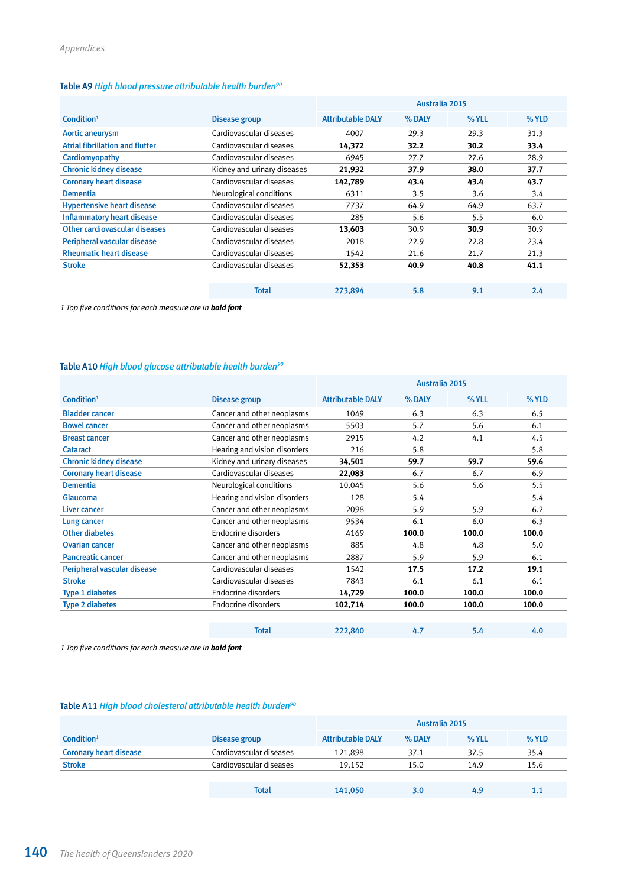## Table A9 *High blood pressure attributable health burden90*

|                                   |                             |                          | Australia 2015 |       |         |  |
|-----------------------------------|-----------------------------|--------------------------|----------------|-------|---------|--|
| Condition <sup>1</sup>            | Disease group               | <b>Attributable DALY</b> | % DALY         | % YLL | $%$ YLD |  |
| Aortic aneurysm                   | Cardiovascular diseases     | 4007                     | 29.3           | 29.3  | 31.3    |  |
| Atrial fibrillation and flutter   | Cardiovascular diseases     | 14,372                   | 32.2           | 30.2  | 33.4    |  |
| Cardiomyopathy                    | Cardiovascular diseases     | 6945                     | 27.7           | 27.6  | 28.9    |  |
| <b>Chronic kidney disease</b>     | Kidney and urinary diseases | 21,932                   | 37.9           | 38.0  | 37.7    |  |
| <b>Coronary heart disease</b>     | Cardiovascular diseases     | 142,789                  | 43.4           | 43.4  | 43.7    |  |
| <b>Dementia</b>                   | Neurological conditions     | 6311                     | 3.5            | 3.6   | 3.4     |  |
| <b>Hypertensive heart disease</b> | Cardiovascular diseases     | 7737                     | 64.9           | 64.9  | 63.7    |  |
| <b>Inflammatory heart disease</b> | Cardiovascular diseases     | 285                      | 5.6            | 5.5   | 6.0     |  |
| Other cardiovascular diseases     | Cardiovascular diseases     | 13,603                   | 30.9           | 30.9  | 30.9    |  |
| Peripheral vascular disease       | Cardiovascular diseases     | 2018                     | 22.9           | 22.8  | 23.4    |  |
| <b>Rheumatic heart disease</b>    | Cardiovascular diseases     | 1542                     | 21.6           | 21.7  | 21.3    |  |
| <b>Stroke</b>                     | Cardiovascular diseases     | 52,353                   | 40.9           | 40.8  | 41.1    |  |
|                                   |                             |                          |                |       |         |  |
|                                   | <b>Total</b>                | 273,894                  | 5.8            | 9.1   | 2.4     |  |

*1 Top five conditions for each measure are in bold font*

## Table A10 *High blood glucose attributable health burden90*

|                               |                              | Australia 2015           |        |       |         |
|-------------------------------|------------------------------|--------------------------|--------|-------|---------|
| Condition $1$                 | Disease group                | <b>Attributable DALY</b> | % DALY | % YLL | $%$ YLD |
| <b>Bladder cancer</b>         | Cancer and other neoplasms   | 1049                     | 6.3    | 6.3   | 6.5     |
| <b>Bowel cancer</b>           | Cancer and other neoplasms   | 5503                     | 5.7    | 5.6   | 6.1     |
| <b>Breast cancer</b>          | Cancer and other neoplasms   | 2915                     | 4.2    | 4.1   | 4.5     |
| <b>Cataract</b>               | Hearing and vision disorders | 216                      | 5.8    |       | 5.8     |
| <b>Chronic kidney disease</b> | Kidney and urinary diseases  | 34,501                   | 59.7   | 59.7  | 59.6    |
| <b>Coronary heart disease</b> | Cardiovascular diseases      | 22,083                   | 6.7    | 6.7   | 6.9     |
| <b>Dementia</b>               | Neurological conditions      | 10,045                   | 5.6    | 5.6   | 5.5     |
| Glaucoma                      | Hearing and vision disorders | 128                      | 5.4    |       | 5.4     |
| Liver cancer                  | Cancer and other neoplasms   | 2098                     | 5.9    | 5.9   | 6.2     |
| Lung cancer                   | Cancer and other neoplasms   | 9534                     | 6.1    | 6.0   | 6.3     |
| <b>Other diabetes</b>         | Endocrine disorders          | 4169                     | 100.0  | 100.0 | 100.0   |
| <b>Ovarian cancer</b>         | Cancer and other neoplasms   | 885                      | 4.8    | 4.8   | 5.0     |
| <b>Pancreatic cancer</b>      | Cancer and other neoplasms   | 2887                     | 5.9    | 5.9   | 6.1     |
| Peripheral vascular disease   | Cardiovascular diseases      | 1542                     | 17.5   | 17.2  | 19.1    |
| <b>Stroke</b>                 | Cardiovascular diseases      | 7843                     | 6.1    | 6.1   | 6.1     |
| <b>Type 1 diabetes</b>        | Endocrine disorders          | 14,729                   | 100.0  | 100.0 | 100.0   |
| <b>Type 2 diabetes</b>        | Endocrine disorders          | 102,714                  | 100.0  | 100.0 | 100.0   |
|                               |                              |                          |        |       |         |
|                               | <b>Total</b>                 | 222,840                  | 4.7    | 5.4   | 4.0     |
|                               |                              |                          |        |       |         |

*1 Top five conditions for each measure are in bold font*

## Table A11 *High blood cholesterol attributable health burden90*

|                               |                         |                          | Australia 2015 |       |       |
|-------------------------------|-------------------------|--------------------------|----------------|-------|-------|
| Condition <sup>1</sup>        | Disease group           | <b>Attributable DALY</b> | % DALY         | % YLL | % YLD |
| <b>Coronary heart disease</b> | Cardiovascular diseases | 121,898                  | 37.1           | 37.5  | 35.4  |
| <b>Stroke</b>                 | Cardiovascular diseases | 19.152                   | 15.0           | 14.9  | 15.6  |
|                               |                         |                          |                |       |       |
|                               | <b>Total</b>            | 141,050                  | 3.0            | 4.9   | 1.1   |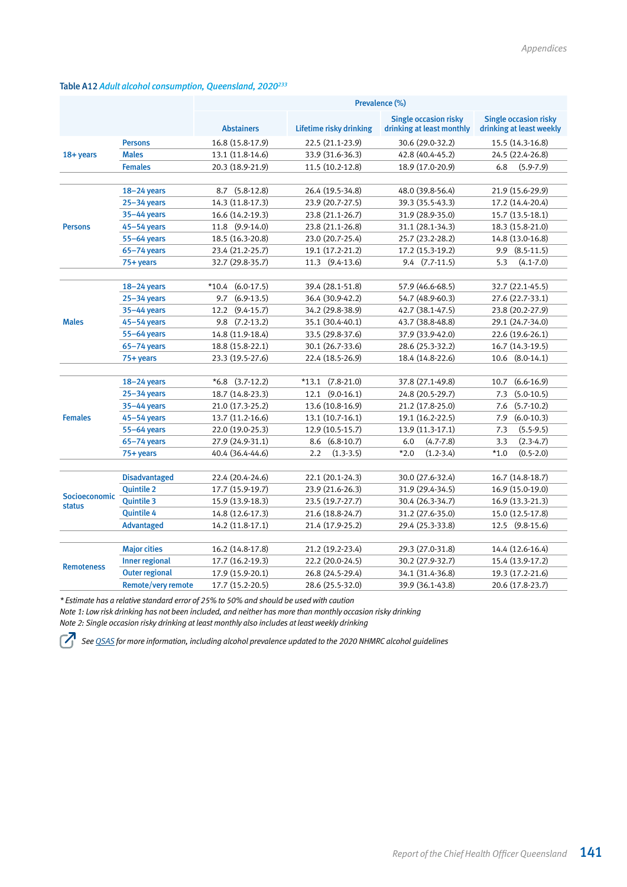|                   |                           | Prevalence (%)      |                         |                                                           |                                                          |  |
|-------------------|---------------------------|---------------------|-------------------------|-----------------------------------------------------------|----------------------------------------------------------|--|
|                   |                           | <b>Abstainers</b>   | Lifetime risky drinking | <b>Single occasion risky</b><br>drinking at least monthly | <b>Single occasion risky</b><br>drinking at least weekly |  |
|                   | <b>Persons</b>            | 16.8 (15.8-17.9)    | 22.5 (21.1-23.9)        | 30.6 (29.0-32.2)                                          | 15.5 (14.3-16.8)                                         |  |
| 18+ years         | <b>Males</b>              | 13.1 (11.8-14.6)    | 33.9 (31.6-36.3)        | 42.8 (40.4-45.2)                                          | 24.5 (22.4-26.8)                                         |  |
|                   | <b>Females</b>            | 20.3 (18.9-21.9)    | 11.5 (10.2-12.8)        | 18.9 (17.0-20.9)                                          | $(5.9 - 7.9)$<br>6.8                                     |  |
|                   |                           |                     |                         |                                                           |                                                          |  |
|                   | $18 - 24$ years           | 8.7 (5.8-12.8)      | 26.4 (19.5-34.8)        | 48.0 (39.8-56.4)                                          | 21.9 (15.6-29.9)                                         |  |
|                   | $25 - 34$ years           | 14.3 (11.8-17.3)    | 23.9 (20.7-27.5)        | 39.3 (35.5-43.3)                                          | 17.2 (14.4-20.4)                                         |  |
|                   | $35 - 44$ years           | 16.6 (14.2-19.3)    | 23.8 (21.1-26.7)        | 31.9 (28.9-35.0)                                          | 15.7 (13.5-18.1)                                         |  |
| <b>Persons</b>    | $45 - 54$ years           | 11.8 (9.9-14.0)     | 23.8 (21.1-26.8)        | 31.1 (28.1-34.3)                                          | 18.3 (15.8-21.0)                                         |  |
|                   | 55-64 years               | 18.5 (16.3-20.8)    | 23.0 (20.7-25.4)        | 25.7 (23.2-28.2)                                          | 14.8 (13.0-16.8)                                         |  |
|                   | $65 - 74$ years           | 23.4 (21.2-25.7)    | 19.1 (17.2-21.2)        | 17.2 (15.3-19.2)                                          | $9.9$ $(8.5-11.5)$                                       |  |
|                   | 75+ years                 | 32.7 (29.8-35.7)    | 11.3 (9.4-13.6)         | $9.4$ $(7.7-11.5)$                                        | 5.3<br>$(4.1 - 7.0)$                                     |  |
|                   |                           |                     |                         |                                                           |                                                          |  |
|                   | $18 - 24$ years           | $*10.4$ (6.0-17.5)  | 39.4 (28.1-51.8)        | 57.9 (46.6-68.5)                                          | 32.7 (22.1-45.5)                                         |  |
|                   | $25 - 34$ years           | $(6.9-13.5)$<br>9.7 | 36.4 (30.9-42.2)        | 54.7 (48.9-60.3)                                          | 27.6 (22.7-33.1)                                         |  |
|                   | $35 - 44$ years           | 12.2 (9.4-15.7)     | 34.2 (29.8-38.9)        | 42.7 (38.1-47.5)                                          | 23.8 (20.2-27.9)                                         |  |
| <b>Males</b>      | $45 - 54$ years           | 9.8 (7.2-13.2)      | 35.1 (30.4-40.1)        | 43.7 (38.8-48.8)                                          | 29.1 (24.7-34.0)                                         |  |
|                   | 55-64 years               | 14.8 (11.9-18.4)    | 33.5 (29.8-37.6)        | 37.9 (33.9-42.0)                                          | 22.6 (19.6-26.1)                                         |  |
|                   | $65 - 74$ years           | 18.8 (15.8-22.1)    | 30.1 (26.7-33.6)        | 28.6 (25.3-32.2)                                          | 16.7 (14.3-19.5)                                         |  |
|                   | 75+ years                 | 23.3 (19.5-27.6)    | 22.4 (18.5-26.9)        | 18.4 (14.8-22.6)                                          | $10.6$ $(8.0-14.1)$                                      |  |
|                   |                           |                     |                         |                                                           |                                                          |  |
|                   | $18 - 24$ years           | $*6.8$ (3.7-12.2)   | $*13.1$ (7.8-21.0)      | 37.8 (27.1-49.8)                                          | $(6.6 - 16.9)$<br>10.7                                   |  |
|                   | $25 - 34$ years           | 18.7 (14.8-23.3)    | $12.1$ $(9.0-16.1)$     | 24.8 (20.5-29.7)                                          | $(5.0 - 10.5)$<br>7.3                                    |  |
|                   | 35-44 years               | 21.0 (17.3-25.2)    | 13.6 (10.8-16.9)        | 21.2 (17.8-25.0)                                          | $(5.7 - 10.2)$<br>7.6                                    |  |
| <b>Females</b>    | $45 - 54$ years           | 13.7 (11.2-16.6)    | 13.1 (10.7-16.1)        | 19.1 (16.2-22.5)                                          | $(6.0-10.3)$<br>7.9                                      |  |
|                   | 55-64 years               | 22.0 (19.0-25.3)    | 12.9 (10.5-15.7)        | 13.9 (11.3-17.1)                                          | $(5.5-9.5)$<br>7.3                                       |  |
|                   | $65 - 74$ years           | 27.9 (24.9-31.1)    | 8.6 (6.8-10.7)          | 6.0<br>$(4.7 - 7.8)$                                      | $(2.3-4.7)$<br>3.3                                       |  |
|                   | 75+ years                 | 40.4 (36.4-44.6)    | 2.2<br>$(1.3-3.5)$      | $*2.0$<br>$(1.2 - 3.4)$                                   | $(0.5 - 2.0)$<br>$*1.0$                                  |  |
|                   |                           |                     |                         |                                                           |                                                          |  |
|                   | <b>Disadvantaged</b>      | 22.4 (20.4-24.6)    | 22.1 (20.1-24.3)        | 30.0 (27.6-32.4)                                          | 16.7 (14.8-18.7)                                         |  |
| Socioeconomic     | <b>Quintile 2</b>         | 17.7 (15.9-19.7)    | 23.9 (21.6-26.3)        | 31.9 (29.4-34.5)                                          | 16.9 (15.0-19.0)                                         |  |
| <b>status</b>     | <b>Quintile 3</b>         | 15.9 (13.9-18.3)    | 23.5 (19.7-27.7)        | 30.4 (26.3-34.7)                                          | 16.9 (13.3-21.3)                                         |  |
|                   | <b>Quintile 4</b>         | 14.8 (12.6-17.3)    | 21.6 (18.8-24.7)        | 31.2 (27.6-35.0)                                          | 15.0 (12.5-17.8)                                         |  |
|                   | <b>Advantaged</b>         | 14.2 (11.8-17.1)    | 21.4 (17.9-25.2)        | 29.4 (25.3-33.8)                                          | 12.5 (9.8-15.6)                                          |  |
|                   |                           |                     |                         |                                                           |                                                          |  |
|                   | <b>Major cities</b>       | 16.2 (14.8-17.8)    | 21.2 (19.2-23.4)        | 29.3 (27.0-31.8)                                          | 14.4 (12.6-16.4)                                         |  |
| <b>Remoteness</b> | <b>Inner regional</b>     | 17.7 (16.2-19.3)    | 22.2 (20.0-24.5)        | 30.2 (27.9-32.7)                                          | 15.4 (13.9-17.2)                                         |  |
|                   | <b>Outer regional</b>     | 17.9 (15.9-20.1)    | 26.8 (24.5-29.4)        | 34.1 (31.4-36.8)                                          | 19.3 (17.2-21.6)                                         |  |
|                   | <b>Remote/very remote</b> | 17.7 (15.2-20.5)    | 28.6 (25.5-32.0)        | 39.9 (36.1-43.8)                                          | 20.6 (17.8-23.7)                                         |  |

#### Table A12 *Adult alcohol consumption, Queensland, 2020233*

*\* Estimate has a relative standard error of 25% to 50% and should be used with caution*

*Note 1: Low risk drinking has not been included, and neither has more than monthly occasion risky drinking Note 2: Single occasion risky drinking at least monthly also includes at least weekly drinking*

*See [QSAS](https://www.health.qld.gov.au/research-reports/population-health/preventive-health-surveys/detailed-data) for more information, including alcohol prevalence updated to the 2020 NHMRC alcohol guidelines* **72**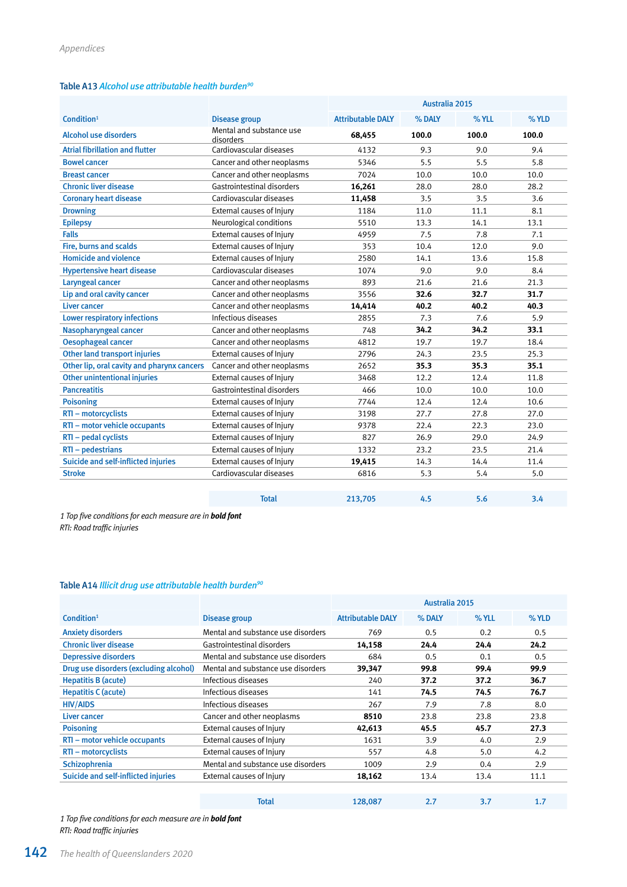#### Table A13 *Alcohol use attributable health burden90*

|                                            |                                       | Australia 2015           |        |       |         |
|--------------------------------------------|---------------------------------------|--------------------------|--------|-------|---------|
| Condition <sup>1</sup>                     | <b>Disease group</b>                  | <b>Attributable DALY</b> | % DALY | % YLL | $%$ YLD |
| <b>Alcohol use disorders</b>               | Mental and substance use<br>disorders | 68.455                   | 100.0  | 100.0 | 100.0   |
| <b>Atrial fibrillation and flutter</b>     | Cardiovascular diseases               | 4132                     | 9.3    | 9.0   | 9.4     |
| <b>Bowel cancer</b>                        | Cancer and other neoplasms            | 5346                     | 5.5    | 5.5   | 5.8     |
| <b>Breast cancer</b>                       | Cancer and other neoplasms            | 7024                     | 10.0   | 10.0  | 10.0    |
| <b>Chronic liver disease</b>               | Gastrointestinal disorders            | 16,261                   | 28.0   | 28.0  | 28.2    |
| <b>Coronary heart disease</b>              | Cardiovascular diseases               | 11,458                   | 3.5    | 3.5   | 3.6     |
| <b>Drowning</b>                            | External causes of Injury             | 1184                     | 11.0   | 11.1  | 8.1     |
| <b>Epilepsy</b>                            | Neurological conditions               | 5510                     | 13.3   | 14.1  | 13.1    |
| <b>Falls</b>                               | External causes of Injury             | 4959                     | 7.5    | 7.8   | 7.1     |
| Fire, burns and scalds                     | External causes of Injury             | 353                      | 10.4   | 12.0  | 9.0     |
| <b>Homicide and violence</b>               | External causes of Injury             | 2580                     | 14.1   | 13.6  | 15.8    |
| <b>Hypertensive heart disease</b>          | Cardiovascular diseases               | 1074                     | 9.0    | 9.0   | 8.4     |
| Laryngeal cancer                           | Cancer and other neoplasms            | 893                      | 21.6   | 21.6  | 21.3    |
| Lip and oral cavity cancer                 | Cancer and other neoplasms            | 3556                     | 32.6   | 32.7  | 31.7    |
| <b>Liver cancer</b>                        | Cancer and other neoplasms            | 14,414                   | 40.2   | 40.2  | 40.3    |
| <b>Lower respiratory infections</b>        | Infectious diseases                   | 2855                     | 7.3    | 7.6   | 5.9     |
| Nasopharyngeal cancer                      | Cancer and other neoplasms            | 748                      | 34.2   | 34.2  | 33.1    |
| <b>Oesophageal cancer</b>                  | Cancer and other neoplasms            | 4812                     | 19.7   | 19.7  | 18.4    |
| <b>Other land transport injuries</b>       | External causes of Injury             | 2796                     | 24.3   | 23.5  | 25.3    |
| Other lip, oral cavity and pharynx cancers | Cancer and other neoplasms            | 2652                     | 35.3   | 35.3  | 35.1    |
| <b>Other unintentional injuries</b>        | External causes of Injury             | 3468                     | 12.2   | 12.4  | 11.8    |
| <b>Pancreatitis</b>                        | Gastrointestinal disorders            | 466                      | 10.0   | 10.0  | 10.0    |
| <b>Poisoning</b>                           | External causes of Injury             | 7744                     | 12.4   | 12.4  | 10.6    |
| RTI - motorcyclists                        | External causes of Injury             | 3198                     | 27.7   | 27.8  | 27.0    |
| RTI - motor vehicle occupants              | External causes of Injury             | 9378                     | 22.4   | 22.3  | 23.0    |
| RTI - pedal cyclists                       | External causes of Injury             | 827                      | 26.9   | 29.0  | 24.9    |
| RTI - pedestrians                          | External causes of Injury             | 1332                     | 23.2   | 23.5  | 21.4    |
| Suicide and self-inflicted injuries        | External causes of Injury             | 19,415                   | 14.3   | 14.4  | 11.4    |
| <b>Stroke</b>                              | Cardiovascular diseases               | 6816                     | 5.3    | 5.4   | 5.0     |
|                                            |                                       |                          |        |       |         |
|                                            | <b>Total</b>                          | 213,705                  | 4.5    | 5.6   | 3.4     |

*1 Top five conditions for each measure are in bold font RTI: Road traffic injuries*

#### Table A14 *Illicit drug use attributable health burden90*

|                                        |                                    | Australia 2015           |        |       |      |
|----------------------------------------|------------------------------------|--------------------------|--------|-------|------|
| Condition <sup>1</sup>                 | Disease group                      | <b>Attributable DALY</b> | % DALY | % YLL | %YLD |
| <b>Anxiety disorders</b>               | Mental and substance use disorders | 769                      | 0.5    | 0.2   | 0.5  |
| <b>Chronic liver disease</b>           | Gastrointestinal disorders         | 14,158                   | 24.4   | 24.4  | 24.2 |
| <b>Depressive disorders</b>            | Mental and substance use disorders | 684                      | 0.5    | 0.1   | 0.5  |
| Drug use disorders (excluding alcohol) | Mental and substance use disorders | 39,347                   | 99.8   | 99.4  | 99.9 |
| <b>Hepatitis B (acute)</b>             | Infectious diseases                | 240                      | 37.2   | 37.2  | 36.7 |
| <b>Hepatitis C (acute)</b>             | Infectious diseases                | 141                      | 74.5   | 74.5  | 76.7 |
| <b>HIV/AIDS</b>                        | Infectious diseases                | 267                      | 7.9    | 7.8   | 8.0  |
| Liver cancer                           | Cancer and other neoplasms         | 8510                     | 23.8   | 23.8  | 23.8 |
| <b>Poisoning</b>                       | External causes of Injury          | 42,613                   | 45.5   | 45.7  | 27.3 |
| RTI - motor vehicle occupants          | External causes of Injury          | 1631                     | 3.9    | 4.0   | 2.9  |
| RTI – motorcyclists                    | External causes of Injury          | 557                      | 4.8    | 5.0   | 4.2  |
| Schizophrenia                          | Mental and substance use disorders | 1009                     | 2.9    | 0.4   | 2.9  |
| Suicide and self-inflicted injuries    | External causes of Injury          | 18,162                   | 13.4   | 13.4  | 11.1 |
|                                        |                                    |                          |        |       |      |

| <b>Total</b><br>128,087<br>2.7<br>3.7<br>1.7 |
|----------------------------------------------|
|----------------------------------------------|

*1 Top five conditions for each measure are in bold font RTI: Road traffic injuries*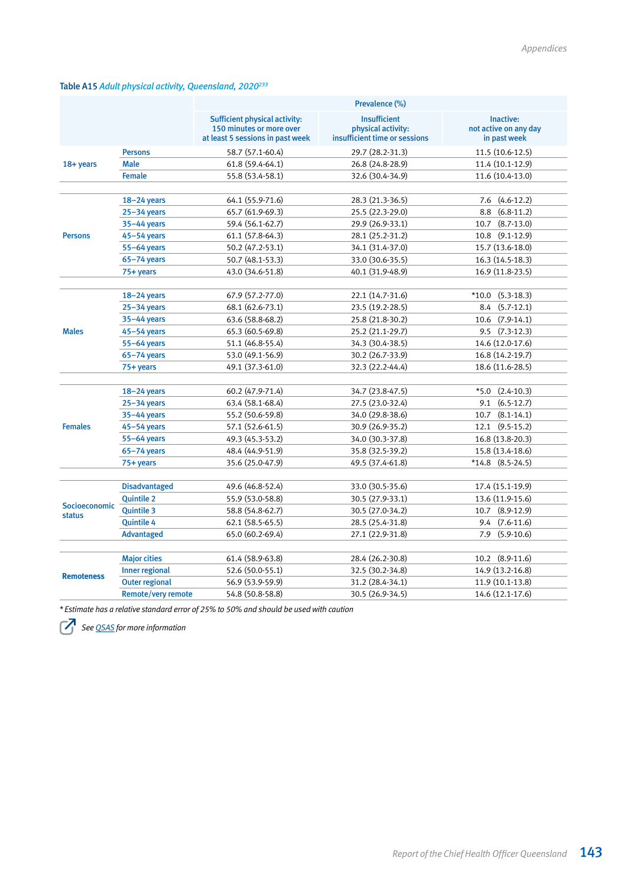## Table A15 *Adult physical activity, Queensland, 2020233*

|                   |                       | Prevalence (%)                                                                                       |                                                                            |                                                    |  |  |
|-------------------|-----------------------|------------------------------------------------------------------------------------------------------|----------------------------------------------------------------------------|----------------------------------------------------|--|--|
|                   |                       | <b>Sufficient physical activity:</b><br>150 minutes or more over<br>at least 5 sessions in past week | <b>Insufficient</b><br>physical activity:<br>insufficient time or sessions | Inactive:<br>not active on any day<br>in past week |  |  |
|                   | <b>Persons</b>        | 58.7 (57.1-60.4)                                                                                     | 29.7 (28.2-31.3)                                                           | 11.5 (10.6-12.5)                                   |  |  |
| 18+ years         | <b>Male</b>           | 61.8 (59.4-64.1)                                                                                     | 26.8 (24.8-28.9)                                                           | 11.4 (10.1-12.9)                                   |  |  |
|                   | <b>Female</b>         | 55.8 (53.4-58.1)                                                                                     | 32.6 (30.4-34.9)                                                           | 11.6 (10.4-13.0)                                   |  |  |
|                   |                       |                                                                                                      |                                                                            |                                                    |  |  |
|                   | $18 - 24$ years       | 64.1 (55.9-71.6)                                                                                     | 28.3 (21.3-36.5)                                                           | 7.6 (4.6-12.2)                                     |  |  |
|                   | $25 - 34$ years       | 65.7 (61.9-69.3)                                                                                     | 25.5 (22.3-29.0)                                                           | 8.8 (6.8-11.2)                                     |  |  |
|                   | 35-44 years           | 59.4 (56.1-62.7)                                                                                     | 29.9 (26.9-33.1)                                                           | 10.7 (8.7-13.0)                                    |  |  |
| <b>Persons</b>    | $45 - 54$ years       | 61.1 (57.8-64.3)                                                                                     | 28.1 (25.2-31.2)                                                           | 10.8 (9.1-12.9)                                    |  |  |
|                   | 55-64 years           | 50.2 (47.2-53.1)                                                                                     | 34.1 (31.4-37.0)                                                           | 15.7 (13.6-18.0)                                   |  |  |
|                   | $65 - 74$ years       | 50.7 (48.1-53.3)                                                                                     | 33.0 (30.6-35.5)                                                           | 16.3 (14.5-18.3)                                   |  |  |
|                   | $75 + years$          | 43.0 (34.6-51.8)                                                                                     | 40.1 (31.9-48.9)                                                           | 16.9 (11.8-23.5)                                   |  |  |
|                   |                       |                                                                                                      |                                                                            |                                                    |  |  |
|                   | $18 - 24$ years       | 67.9 (57.2-77.0)                                                                                     | 22.1 (14.7-31.6)                                                           | $*10.0$ (5.3-18.3)                                 |  |  |
|                   | $25 - 34$ years       | 68.1 (62.6-73.1)                                                                                     | 23.5 (19.2-28.5)                                                           | 8.4 (5.7-12.1)                                     |  |  |
| <b>Males</b>      | 35-44 years           | 63.6 (58.8-68.2)                                                                                     | 25.8 (21.8-30.2)                                                           | 10.6 (7.9-14.1)                                    |  |  |
|                   | $45 - 54$ years       | 65.3 (60.5-69.8)                                                                                     | 25.2 (21.1-29.7)                                                           | 9.5 (7.3-12.3)                                     |  |  |
|                   | 55-64 years           | 51.1 (46.8-55.4)                                                                                     | 34.3 (30.4-38.5)                                                           | 14.6 (12.0-17.6)                                   |  |  |
|                   | $65 - 74$ years       | 53.0 (49.1-56.9)                                                                                     | 30.2 (26.7-33.9)                                                           | 16.8 (14.2-19.7)                                   |  |  |
|                   | $75 + years$          | 49.1 (37.3-61.0)                                                                                     | 32.3 (22.2-44.4)                                                           | 18.6 (11.6-28.5)                                   |  |  |
|                   |                       |                                                                                                      |                                                                            |                                                    |  |  |
|                   | $18 - 24$ years       | 60.2 (47.9-71.4)                                                                                     | 34.7 (23.8-47.5)                                                           | $*5.0$ $(2.4-10.3)$                                |  |  |
|                   | $25 - 34$ years       | 63.4 (58.1-68.4)                                                                                     | 27.5 (23.0-32.4)                                                           | $9.1 (6.5-12.7)$                                   |  |  |
|                   | 35-44 years           | 55.2 (50.6-59.8)                                                                                     | 34.0 (29.8-38.6)                                                           | $10.7$ $(8.1-14.1)$                                |  |  |
| <b>Females</b>    | $45 - 54$ years       | 57.1 (52.6-61.5)                                                                                     | 30.9 (26.9-35.2)                                                           | 12.1 (9.5-15.2)                                    |  |  |
|                   | 55-64 years           | 49.3 (45.3-53.2)                                                                                     | 34.0 (30.3-37.8)                                                           | 16.8 (13.8-20.3)                                   |  |  |
|                   | 65-74 years           | 48.4 (44.9-51.9)                                                                                     | 35.8 (32.5-39.2)                                                           | 15.8 (13.4-18.6)                                   |  |  |
|                   | 75+ years             | 35.6 (25.0-47.9)                                                                                     | 49.5 (37.4-61.8)                                                           | $*14.8$ (8.5-24.5)                                 |  |  |
|                   |                       |                                                                                                      |                                                                            |                                                    |  |  |
|                   | <b>Disadvantaged</b>  | 49.6 (46.8-52.4)                                                                                     | 33.0 (30.5-35.6)                                                           | 17.4 (15.1-19.9)                                   |  |  |
| Socioeconomic     | <b>Quintile 2</b>     | 55.9 (53.0-58.8)                                                                                     | 30.5 (27.9-33.1)                                                           | 13.6 (11.9-15.6)                                   |  |  |
| <b>status</b>     | <b>Quintile 3</b>     | 58.8 (54.8-62.7)                                                                                     | 30.5 (27.0-34.2)                                                           | 10.7 (8.9-12.9)                                    |  |  |
|                   | <b>Quintile 4</b>     | 62.1 (58.5-65.5)                                                                                     | 28.5 (25.4-31.8)                                                           | $9.4$ $(7.6-11.6)$                                 |  |  |
|                   | <b>Advantaged</b>     | 65.0 (60.2-69.4)                                                                                     | 27.1 (22.9-31.8)                                                           | $7.9$ $(5.9-10.6)$                                 |  |  |
|                   |                       |                                                                                                      |                                                                            |                                                    |  |  |
|                   | <b>Major cities</b>   | 61.4 (58.9-63.8)                                                                                     | 28.4 (26.2-30.8)                                                           | 10.2 (8.9-11.6)                                    |  |  |
| <b>Remoteness</b> | Inner regional        | 52.6 (50.0-55.1)                                                                                     | 32.5 (30.2-34.8)                                                           | 14.9 (13.2-16.8)                                   |  |  |
|                   | <b>Outer regional</b> | 56.9 (53.9-59.9)                                                                                     | 31.2 (28.4-34.1)                                                           | 11.9 (10.1-13.8)                                   |  |  |
|                   | Remote/very remote    | 54.8 (50.8-58.8)                                                                                     | 30.5 (26.9-34.5)                                                           | 14.6 (12.1-17.6)                                   |  |  |

*\* Estimate has a relative standard error of 25% to 50% and should be used with caution*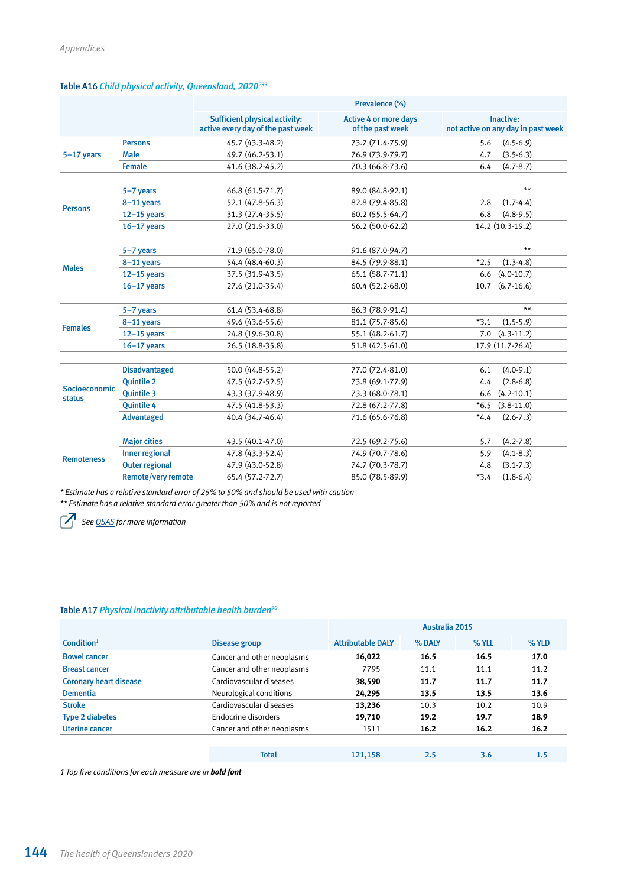| Table A16 Child physical activity, Queensland, 2020 <sup>233</sup> |  |  |  |  |
|--------------------------------------------------------------------|--|--|--|--|
|--------------------------------------------------------------------|--|--|--|--|

|                   |                       | Prevalence (%)                                                            |                                                  |                                                 |  |  |
|-------------------|-----------------------|---------------------------------------------------------------------------|--------------------------------------------------|-------------------------------------------------|--|--|
|                   |                       | <b>Sufficient physical activity:</b><br>active every day of the past week | <b>Active 4 or more days</b><br>of the past week | Inactive:<br>not active on any day in past week |  |  |
|                   | <b>Persons</b>        | 45.7 (43.3-48.2)                                                          | 73.7 (71.4-75.9)                                 | 5.6<br>$(4.5 - 6.9)$                            |  |  |
| $5-17$ years      | <b>Male</b>           | 49.7 (46.2-53.1)                                                          | 76.9 (73.9-79.7)                                 | $(3.5-6.3)$<br>4.7                              |  |  |
|                   | <b>Female</b>         | 41.6 (38.2-45.2)                                                          | 70.3 (66.8-73.6)                                 | 6.4<br>$(4.7 - 8.7)$                            |  |  |
|                   |                       |                                                                           |                                                  |                                                 |  |  |
|                   | 5-7 years             | 66.8 (61.5-71.7)                                                          | 89.0 (84.8-92.1)                                 | $\star\star$                                    |  |  |
| <b>Persons</b>    | 8-11 years            | 52.1 (47.8-56.3)                                                          | 82.8 (79.4-85.8)                                 | $(1.7-4.4)$<br>2.8                              |  |  |
|                   | $12-15$ years         | 31.3 (27.4-35.5)                                                          | 60.2 (55.5-64.7)                                 | 6.8<br>$(4.8-9.5)$                              |  |  |
|                   | $16 - 17$ years       | 27.0 (21.9-33.0)                                                          | 56.2 (50.0-62.2)                                 | 14.2 (10.3-19.2)                                |  |  |
|                   | 5-7 years             | 71.9 (65.0-78.0)                                                          | 91.6 (87.0-94.7)                                 | $**$                                            |  |  |
|                   | 8-11 years            | 54.4 (48.4-60.3)                                                          | 84.5 (79.9-88.1)                                 | $(1.3-4.8)$<br>$*2.5$                           |  |  |
| <b>Males</b>      | $12-15$ years         | 37.5 (31.9-43.5)                                                          | 65.1 (58.7-71.1)                                 | 6.6<br>$(4.0-10.7)$                             |  |  |
|                   | $16-17$ years         | 27.6 (21.0-35.4)                                                          | 60.4 (52.2-68.0)                                 | $(6.7 - 16.6)$<br>10.7                          |  |  |
|                   |                       |                                                                           |                                                  |                                                 |  |  |
|                   | 5-7 years             | 61.4 (53.4-68.8)                                                          | 86.3 (78.9-91.4)                                 | $**$                                            |  |  |
| <b>Females</b>    | 8-11 years            | 49.6 (43.6-55.6)                                                          | 81.1 (75.7-85.6)                                 | $*3.1$<br>$(1.5-5.9)$                           |  |  |
|                   | $12-15$ years         | 24.8 (19.6-30.8)                                                          | 55.1 (48.2-61.7)                                 | $7.0$ $(4.3-11.2)$                              |  |  |
|                   | $16 - 17$ years       | 26.5 (18.8-35.8)                                                          | 51.8 (42.5-61.0)                                 | 17.9 (11.7-26.4)                                |  |  |
|                   |                       |                                                                           |                                                  |                                                 |  |  |
|                   | <b>Disadvantaged</b>  | 50.0 (44.8-55.2)                                                          | 77.0 (72.4-81.0)                                 | $(4.0-9.1)$<br>6.1                              |  |  |
| Socioeconomic     | <b>Ouintile 2</b>     | 47.5 (42.7-52.5)                                                          | 73.8 (69.1-77.9)                                 | $(2.8 - 6.8)$<br>4.4                            |  |  |
| <b>status</b>     | <b>Quintile 3</b>     | 43.3 (37.9-48.9)                                                          | 73.3 (68.0-78.1)                                 | $(4.2 - 10.1)$<br>6.6                           |  |  |
|                   | <b>Quintile 4</b>     | 47.5 (41.8-53.3)                                                          | 72.8 (67.2-77.8)                                 | $*6.5$<br>$(3.8-11.0)$                          |  |  |
|                   | <b>Advantaged</b>     | 40.4 (34.7-46.4)                                                          | 71.6 (65.6-76.8)                                 | $*4.4$<br>$(2.6 - 7.3)$                         |  |  |
|                   |                       |                                                                           |                                                  |                                                 |  |  |
|                   | <b>Major cities</b>   | 43.5 (40.1-47.0)                                                          | 72.5 (69.2-75.6)                                 | $(4.2 - 7.8)$<br>5.7                            |  |  |
| <b>Remoteness</b> | <b>Inner regional</b> | 47.8 (43.3-52.4)                                                          | 74.9 (70.7-78.6)                                 | $(4.1 - 8.3)$<br>5.9                            |  |  |
|                   | <b>Outer regional</b> | 47.9 (43.0-52.8)                                                          | 74.7 (70.3-78.7)                                 | $(3.1 - 7.3)$<br>4.8                            |  |  |
|                   | Remote/very remote    | 65.4 (57.2-72.7)                                                          | 85.0 (78.5-89.9)                                 | $*3.4$<br>$(1.8-6.4)$                           |  |  |

*\* Estimate has a relative standard error of 25% to 50% and should be used with caution*

*\*\* Estimate has a relative standard error greater than 50% and is not reported*

*See [QSAS](https://www.health.qld.gov.au/research-reports/population-health/preventive-health-surveys/detailed-data) for more information*

## Table A17 *Physical inactivity attributable health burden90*

|                               |                            | Australia 2015           |        |       |      |
|-------------------------------|----------------------------|--------------------------|--------|-------|------|
| Condition <sup>1</sup>        | Disease group              | <b>Attributable DALY</b> | % DALY | % YLL | %YLD |
| <b>Bowel cancer</b>           | Cancer and other neoplasms | 16,022                   | 16.5   | 16.5  | 17.0 |
| <b>Breast cancer</b>          | Cancer and other neoplasms | 7795                     | 11.1   | 11.1  | 11.2 |
| <b>Coronary heart disease</b> | Cardiovascular diseases    | 38,590                   | 11.7   | 11.7  | 11.7 |
| <b>Dementia</b>               | Neurological conditions    | 24,295                   | 13.5   | 13.5  | 13.6 |
| <b>Stroke</b>                 | Cardiovascular diseases    | 13,236                   | 10.3   | 10.2  | 10.9 |
| <b>Type 2 diabetes</b>        | Endocrine disorders        | 19,710                   | 19.2   | 19.7  | 18.9 |
| Uterine cancer                | Cancer and other neoplasms | 1511                     | 16.2   | 16.2  | 16.2 |
|                               |                            |                          |        |       |      |
|                               | <b>Total</b>               | 121.158                  | 2.5    | 3.6   | 1.5  |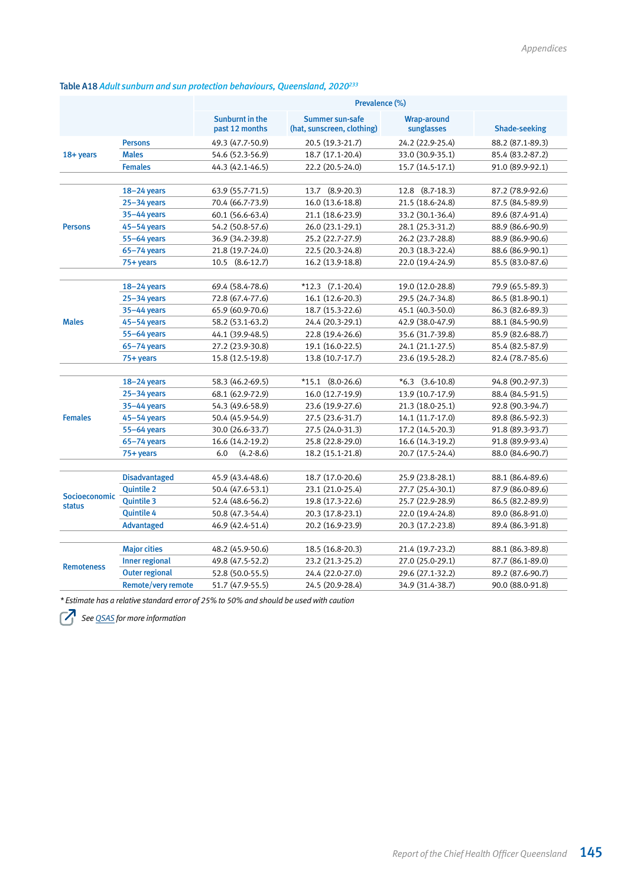# Table A18 *Adult sunburn and sun protection behaviours, Queensland, 2020233*

|                   |                       | Prevalence (%)                           |                                               |                                  |                      |  |
|-------------------|-----------------------|------------------------------------------|-----------------------------------------------|----------------------------------|----------------------|--|
|                   |                       | <b>Sunburnt in the</b><br>past 12 months | Summer sun-safe<br>(hat, sunscreen, clothing) | <b>Wrap-around</b><br>sunglasses | <b>Shade-seeking</b> |  |
|                   | <b>Persons</b>        | 49.3 (47.7-50.9)                         | 20.5 (19.3-21.7)                              | 24.2 (22.9-25.4)                 | 88.2 (87.1-89.3)     |  |
| 18+ years         | <b>Males</b>          | 54.6 (52.3-56.9)                         | 18.7 (17.1-20.4)                              | 33.0 (30.9-35.1)                 | 85.4 (83.2-87.2)     |  |
|                   | <b>Females</b>        | 44.3 (42.1-46.5)                         | 22.2 (20.5-24.0)                              | 15.7 (14.5-17.1)                 | 91.0 (89.9-92.1)     |  |
|                   |                       |                                          |                                               |                                  |                      |  |
|                   | $18 - 24$ years       | 63.9 (55.7-71.5)                         | 13.7 (8.9-20.3)                               | 12.8 (8.7-18.3)                  | 87.2 (78.9-92.6)     |  |
|                   | $25 - 34$ years       | 70.4 (66.7-73.9)                         | 16.0 (13.6-18.8)                              | 21.5 (18.6-24.8)                 | 87.5 (84.5-89.9)     |  |
|                   | 35-44 years           | 60.1 (56.6-63.4)                         | 21.1 (18.6-23.9)                              | 33.2 (30.1-36.4)                 | 89.6 (87.4-91.4)     |  |
| <b>Persons</b>    | $45 - 54$ years       | 54.2 (50.8-57.6)                         | 26.0 (23.1-29.1)                              | 28.1 (25.3-31.2)                 | 88.9 (86.6-90.9)     |  |
|                   | 55-64 years           | 36.9 (34.2-39.8)                         | 25.2 (22.7-27.9)                              | 26.2 (23.7-28.8)                 | 88.9 (86.9-90.6)     |  |
|                   | $65 - 74$ years       | 21.8 (19.7-24.0)                         | 22.5 (20.3-24.8)                              | 20.3 (18.3-22.4)                 | 88.6 (86.9-90.1)     |  |
|                   | 75+ years             | 10.5 (8.6-12.7)                          | 16.2 (13.9-18.8)                              | 22.0 (19.4-24.9)                 | 85.5 (83.0-87.6)     |  |
|                   |                       |                                          |                                               |                                  |                      |  |
|                   | $18 - 24$ years       | 69.4 (58.4-78.6)                         | $*12.3$ (7.1-20.4)                            | 19.0 (12.0-28.8)                 | 79.9 (65.5-89.3)     |  |
|                   | $25 - 34$ years       | 72.8 (67.4-77.6)                         | 16.1 (12.6-20.3)                              | 29.5 (24.7-34.8)                 | 86.5 (81.8-90.1)     |  |
|                   | $35 - 44$ years       | 65.9 (60.9-70.6)                         | 18.7 (15.3-22.6)                              | 45.1 (40.3-50.0)                 | 86.3 (82.6-89.3)     |  |
| <b>Males</b>      | $45 - 54$ years       | 58.2 (53.1-63.2)                         | 24.4 (20.3-29.1)                              | 42.9 (38.0-47.9)                 | 88.1 (84.5-90.9)     |  |
|                   | 55-64 years           | 44.1 (39.9-48.5)                         | 22.8 (19.4-26.6)                              | 35.6 (31.7-39.8)                 | 85.9 (82.6-88.7)     |  |
|                   | $65 - 74$ years       | 27.2 (23.9-30.8)                         | 19.1 (16.0-22.5)                              | 24.1 (21.1-27.5)                 | 85.4 (82.5-87.9)     |  |
|                   | $75 + years$          | 15.8 (12.5-19.8)                         | 13.8 (10.7-17.7)                              | 23.6 (19.5-28.2)                 | 82.4 (78.7-85.6)     |  |
|                   |                       |                                          |                                               |                                  |                      |  |
|                   | $18 - 24$ years       | 58.3 (46.2-69.5)                         | $*15.1$ (8.0-26.6)                            | $*6.3$ (3.6-10.8)                | 94.8 (90.2-97.3)     |  |
|                   | $25 - 34$ years       | 68.1 (62.9-72.9)                         | 16.0 (12.7-19.9)                              | 13.9 (10.7-17.9)                 | 88.4 (84.5-91.5)     |  |
|                   | 35-44 years           | 54.3 (49.6-58.9)                         | 23.6 (19.9-27.6)                              | 21.3 (18.0-25.1)                 | 92.8 (90.3-94.7)     |  |
| <b>Females</b>    | $45 - 54$ years       | 50.4 (45.9-54.9)                         | 27.5 (23.6-31.7)                              | 14.1 (11.7-17.0)                 | 89.8 (86.5-92.3)     |  |
|                   | $55-64$ years         | 30.0 (26.6-33.7)                         | 27.5 (24.0-31.3)                              | 17.2 (14.5-20.3)                 | 91.8 (89.3-93.7)     |  |
|                   | $65 - 74$ years       | 16.6 (14.2-19.2)                         | 25.8 (22.8-29.0)                              | 16.6 (14.3-19.2)                 | 91.8 (89.9-93.4)     |  |
|                   | 75+ years             | 6.0<br>$(4.2 - 8.6)$                     | 18.2 (15.1-21.8)                              | 20.7 (17.5-24.4)                 | 88.0 (84.6-90.7)     |  |
|                   |                       |                                          |                                               |                                  |                      |  |
|                   | <b>Disadvantaged</b>  | 45.9 (43.4-48.6)                         | 18.7 (17.0-20.6)                              | 25.9 (23.8-28.1)                 | 88.1 (86.4-89.6)     |  |
| Socioeconomic     | <b>Quintile 2</b>     | 50.4 (47.6-53.1)                         | 23.1 (21.0-25.4)                              | 27.7 (25.4-30.1)                 | 87.9 (86.0-89.6)     |  |
| <b>status</b>     | <b>Quintile 3</b>     | 52.4 (48.6-56.2)                         | 19.8 (17.3-22.6)                              | 25.7 (22.9-28.9)                 | 86.5 (82.2-89.9)     |  |
|                   | <b>Quintile 4</b>     | 50.8 (47.3-54.4)                         | 20.3 (17.8-23.1)                              | 22.0 (19.4-24.8)                 | 89.0 (86.8-91.0)     |  |
|                   | Advantaged            | 46.9 (42.4-51.4)                         | 20.2 (16.9-23.9)                              | 20.3 (17.2-23.8)                 | 89.4 (86.3-91.8)     |  |
|                   |                       |                                          |                                               |                                  |                      |  |
|                   | <b>Major cities</b>   | 48.2 (45.9-50.6)                         | 18.5 (16.8-20.3)                              | 21.4 (19.7-23.2)                 | 88.1 (86.3-89.8)     |  |
| <b>Remoteness</b> | <b>Inner regional</b> | 49.8 (47.5-52.2)                         | 23.2 (21.3-25.2)                              | 27.0 (25.0-29.1)                 | 87.7 (86.1-89.0)     |  |
|                   | <b>Outer regional</b> | 52.8 (50.0-55.5)                         | 24.4 (22.0-27.0)                              | 29.6 (27.1-32.2)                 | 89.2 (87.6-90.7)     |  |
|                   | Remote/very remote    | 51.7 (47.9-55.5)                         | 24.5 (20.9-28.4)                              | 34.9 (31.4-38.7)                 | 90.0 (88.0-91.8)     |  |

*\* Estimate has a relative standard error of 25% to 50% and should be used with caution*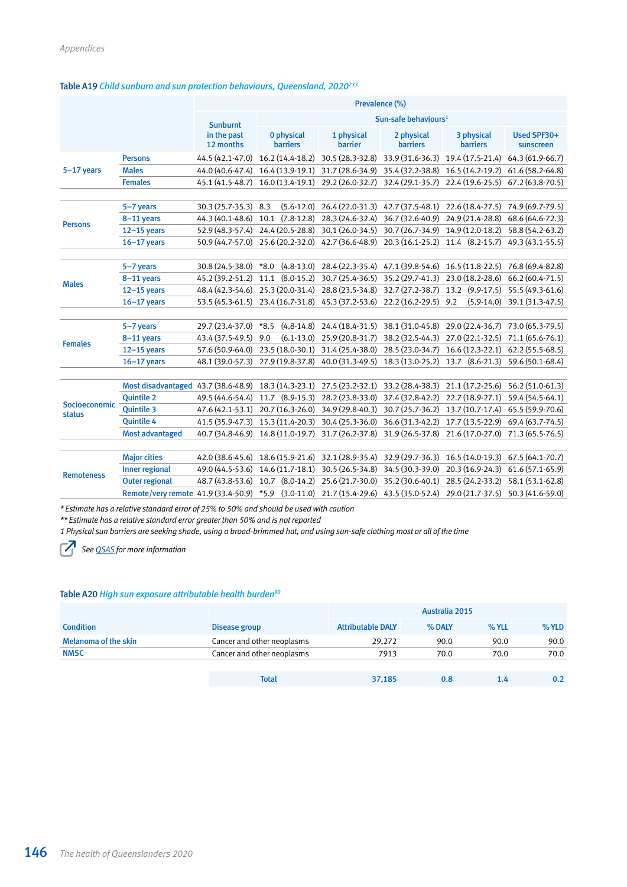#### Table A19 *Child sunburn and sun protection behaviours, Queensland, 2020233*

|                   |                                     | Prevalence (%)           |                                  |                              |                               |                               |                          |
|-------------------|-------------------------------------|--------------------------|----------------------------------|------------------------------|-------------------------------|-------------------------------|--------------------------|
|                   |                                     | <b>Sunburnt</b>          | Sun-safe behaviours <sup>1</sup> |                              |                               |                               |                          |
|                   |                                     | in the past<br>12 months | 0 physical<br><b>barriers</b>    | 1 physical<br><b>barrier</b> | 2 physical<br><b>barriers</b> | 3 physical<br><b>barriers</b> | Used SPF30+<br>sunscreen |
|                   | <b>Persons</b>                      | 44.5 (42.1-47.0)         | 16.2 (14.4-18.2)                 | 30.5 (28.3-32.8)             | 33.9 (31.6-36.3)              | 19.4 (17.5-21.4)              | 64.3 (61.9-66.7)         |
| $5-17$ years      | <b>Males</b>                        | 44.0 (40.6-47.4)         | 16.4 (13.9-19.1)                 | 31.7 (28.6-34.9)             | 35.4 (32.2-38.8)              | 16.5 (14.2-19.2)              | 61.6 (58.2-64.8)         |
|                   | <b>Females</b>                      | 45.1 (41.5-48.7)         | $16.0(13.4-19.1)$                | 29.2 (26.0-32.7)             | 32.4 (29.1-35.7)              | 22.4 (19.6-25.5)              | 67.2 (63.8-70.5)         |
|                   | 5-7 years                           | 30.3 (25.7-35.3)         | $(5.6-12.0)$<br>8.3              | 26.4 (22.0-31.3)             | 42.7 (37.5-48.1)              | 22.6 (18.4-27.5)              | 74.9 (69.7-79.5)         |
|                   | 8-11 years                          | 44.3 (40.1-48.6)         | $(7.8-12.8)$<br>10.1             | 28.3 (24.6-32.4)             | 36.7 (32.6-40.9)              | 24.9 (21.4-28.8)              | 68.6 (64.6-72.3)         |
| <b>Persons</b>    | $12-15$ years                       | 52.9 (48.3-57.4)         | 24.4 (20.5-28.8)                 | 30.1 (26.0-34.5)             | 30.7 (26.7-34.9)              | 14.9 (12.0-18.2)              | 58.8 (54.2-63.2)         |
|                   | $16 - 17$ years                     | 50.9 (44.7-57.0)         | 25.6 (20.2-32.0)                 | 42.7 (36.6-48.9)             | 20.3 (16.1-25.2)              | 11.4 (8.2-15.7)               | 49.3 (43.1-55.5)         |
|                   |                                     |                          |                                  |                              |                               |                               |                          |
|                   | 5-7 years                           | 30.8 (24.5-38.0)         | $*8.0$<br>$(4.8-13.0)$           | 28.4 (22.3-35.4)             | 47.1 (39.8-54.6)              | 16.5 (11.8-22.5)              | 76.8 (69.4-82.8)         |
| <b>Males</b>      | 8-11 years                          | 45.2 (39.2-51.2)         | $(8.0-15.2)$<br>11.1             | 30.7 (25.4-36.5)             | 35.2 (29.7-41.3)              | 23.0 (18.2-28.6)              | 66.2 (60.4-71.5)         |
|                   | $12-15$ years                       | 48.4 (42.3-54.6)         | 25.3 (20.0-31.4)                 | 28.8 (23.5-34.8)             | 32.7 (27.2-38.7)              | 13.2 (9.9-17.5)               | 55.5 (49.3-61.6)         |
|                   | $16 - 17$ years                     | 53.5 (45.3-61.5)         | 23.4 (16.7-31.8)                 | 45.3 (37.2-53.6)             | 22.2 (16.2-29.5)              | 9.2<br>$(5.9 - 14.0)$         | 39.1 (31.3-47.5)         |
|                   |                                     | 29.7 (23.4-37.0)         | $(4.8 - 14.8)$<br>$*8.5$         | 24.4 (18.4-31.5)             | 38.1 (31.0-45.8)              | 29.0 (22.4-36.7)              | 73.0 (65.3-79.5)         |
|                   | 5-7 years                           |                          |                                  |                              |                               |                               |                          |
| <b>Females</b>    | 8-11 years                          | 43.4 (37.5-49.5)         | $(6.1 - 13.0)$<br>9.0            | 25.9 (20.8-31.7)             | 38.2 (32.5-44.3)              | 27.0 (22.1-32.5)              | 71.1 (65.6-76.1)         |
|                   | $12-15$ years                       | 57.6 (50.9-64.0)         | 23.5 (18.0-30.1)                 | 31.4 (25.4-38.0)             | 28.5 (23.0-34.7)              | $16.6(12.3-22.1)$             | $62.2(55.5-68.5)$        |
|                   | $16 - 17$ years                     | 48.1 (39.0-57.3)         | 27.9 (19.8-37.8)                 | 40.0 (31.3-49.5)             | 18.3 (13.0-25.2)              | 13.7 (8.6-21.3)               | 59.6 (50.1-68.4)         |
|                   | Most disadvantaged 43.7 (38.6-48.9) |                          | 18.3 (14.3-23.1)                 | 27.5 (23.2-32.1)             | 33.2 (28.4-38.3)              | 21.1 (17.2-25.6)              | 56.2 (51.0-61.3)         |
|                   | <b>Quintile 2</b>                   | 49.5 (44.6-54.4)         | 11.7 (8.9-15.3)                  | 28.2 (23.8-33.0)             | 37.4 (32.8-42.2)              | 22.7 (18.9-27.1)              | 59.4 (54.5-64.1)         |
| Socioeconomic     | <b>Quintile 3</b>                   | 47.6 (42.1-53.1)         | 20.7 (16.3-26.0)                 | 34.9 (29.8-40.3)             | 30.7 (25.7-36.2)              | 13.7 (10.7-17.4)              | 65.5 (59.9-70.6)         |
| <b>status</b>     | <b>Quintile 4</b>                   | 41.5 (35.9-47.3)         | 15.3 (11.4-20.3)                 | 30.4 (25.3-36.0)             | 36.6 (31.3-42.2)              | 17.7 (13.5-22.9)              | 69.4 (63.7-74.5)         |
|                   | <b>Most advantaged</b>              | 40.7 (34.8-46.9)         | 14.8 (11.0-19.7)                 | 31.7 (26.2-37.8)             | 31.9 (26.5-37.8)              | 21.6 (17.0-27.0)              | 71.3 (65.5-76.5)         |
|                   |                                     |                          |                                  |                              |                               |                               |                          |
|                   | <b>Major cities</b>                 | 42.0 (38.6-45.6)         | 18.6 (15.9-21.6)                 | 32.1 (28.9-35.4)             | 32.9 (29.7-36.3)              | 16.5 (14.0-19.3)              | 67.5 (64.1-70.7)         |
|                   | <b>Inner regional</b>               | 49.0 (44.5-53.6)         | 14.6 (11.7-18.1)                 | 30.5 (26.5-34.8)             | 34.5 (30.3-39.0)              | 20.3 (16.9-24.3)              | $61.6(57.1-65.9)$        |
| <b>Remoteness</b> | <b>Outer regional</b>               | 48.7 (43.8-53.6)         | $(8.0-14.2)$<br>10.7             | 25.6 (21.7-30.0)             | 35.2 (30.6-40.1)              | 28.5 (24.2-33.2)              | 58.1 (53.1-62.8)         |
|                   | Remote/very remote 41.9 (33.4-50.9) |                          | $(3.0-11.0)$<br>$*5.9$           | 21.7 (15.4-29.6)             | 43.5 (35.0-52.4)              | 29.0 (21.7-37.5)              | 50.3 (41.6-59.0)         |

*\* Estimate has a relative standard error of 25% to 50% and should be used with caution*

*\*\* Estimate has a relative standard error greater than 50% and is not reported*

*1 Physical sun barriers are seeking shade, using a broad-brimmed hat, and using sun-safe clothing most or all of the time*

*See [QSAS](https://www.health.qld.gov.au/research-reports/population-health/preventive-health-surveys/detailed-data) for more information*

#### Table A20 *High sun exposure attributable health burden90*

|                             |                            |                          | Australia 2015 |         |         |
|-----------------------------|----------------------------|--------------------------|----------------|---------|---------|
| <b>Condition</b>            | Disease group              | <b>Attributable DALY</b> | % DALY         | $%$ YLL | $%$ YLD |
| <b>Melanoma of the skin</b> | Cancer and other neoplasms | 29,272                   | 90.0           | 90.0    | 90.0    |
| <b>NMSC</b>                 | Cancer and other neoplasms | 7913                     | 70.0           | 70.0    | 70.0    |
|                             |                            |                          |                |         |         |
|                             | <b>Total</b>               | 37,185                   | 0.8            | 1.4     | 0.2     |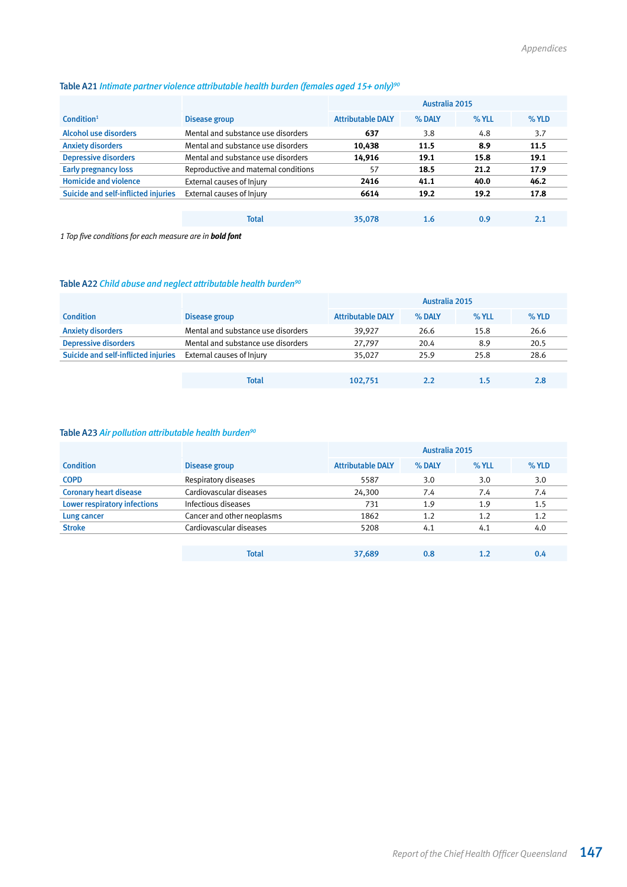| Table A21 Intimate partner violence attributable health burden (females aged 15+ only) <sup>90</sup> |  |  |  |
|------------------------------------------------------------------------------------------------------|--|--|--|
|                                                                                                      |  |  |  |

|                                     |                                      |                          | Australia 2015 |       |       |
|-------------------------------------|--------------------------------------|--------------------------|----------------|-------|-------|
| Condition <sup>1</sup>              | Disease group                        | <b>Attributable DALY</b> | % DALY         | % YLL | % YLD |
| Alcohol use disorders               | Mental and substance use disorders   | 637                      | 3.8            | 4.8   | 3.7   |
| <b>Anxiety disorders</b>            | Mental and substance use disorders   | 10,438                   | 11.5           | 8.9   | 11.5  |
| <b>Depressive disorders</b>         | Mental and substance use disorders   | 14,916                   | 19.1           | 15.8  | 19.1  |
| <b>Early pregnancy loss</b>         | Reproductive and maternal conditions | 57                       | 18.5           | 21.2  | 17.9  |
| <b>Homicide and violence</b>        | External causes of Injury            | 2416                     | 41.1           | 40.0  | 46.2  |
| Suicide and self-inflicted injuries | External causes of Injury            | 6614                     | 19.2           | 19.2  | 17.8  |
|                                     |                                      |                          |                |       |       |
|                                     | <b>Total</b>                         | 35,078                   | 1.6            | 0.9   | 2.1   |

*1 Top five conditions for each measure are in bold font*

# Table A22 *Child abuse and neglect attributable health burden90*

|                                     |                                    |                          | Australia 2015 |         |      |
|-------------------------------------|------------------------------------|--------------------------|----------------|---------|------|
| <b>Condition</b>                    | Disease group                      | <b>Attributable DALY</b> | % DALY         | $%$ YLL | %YLD |
| <b>Anxiety disorders</b>            | Mental and substance use disorders | 39,927                   | 26.6           | 15.8    | 26.6 |
| <b>Depressive disorders</b>         | Mental and substance use disorders | 27,797                   | 20.4           | 8.9     | 20.5 |
| Suicide and self-inflicted injuries | External causes of Injury          | 35,027                   | 25.9           | 25.8    | 28.6 |
|                                     |                                    |                          |                |         |      |
|                                     | Total                              | 102.751                  | 2.2            | 1.5     | 2.8  |

# Table A23 *Air pollution attributable health burden90*

|                                     |                            |                          | Australia 2015 |       |      |
|-------------------------------------|----------------------------|--------------------------|----------------|-------|------|
| <b>Condition</b>                    | Disease group              | <b>Attributable DALY</b> | % DALY         | % YLL | %YLD |
| <b>COPD</b>                         | Respiratory diseases       | 5587                     | 3.0            | 3.0   | 3.0  |
| <b>Coronary heart disease</b>       | Cardiovascular diseases    | 24,300                   | 7.4            | 7.4   | 7.4  |
| <b>Lower respiratory infections</b> | Infectious diseases        | 731                      | 1.9            | 1.9   | 1.5  |
| Lung cancer                         | Cancer and other neoplasms | 1862                     | 1.2            | 1.2   | 1.2  |
| <b>Stroke</b>                       | Cardiovascular diseases    | 5208                     | 4.1            | 4.1   | 4.0  |
|                                     |                            |                          |                |       |      |

| <b>Total</b> | 37,689 | 0.8 | ∸∙ |  |
|--------------|--------|-----|----|--|
|              |        |     |    |  |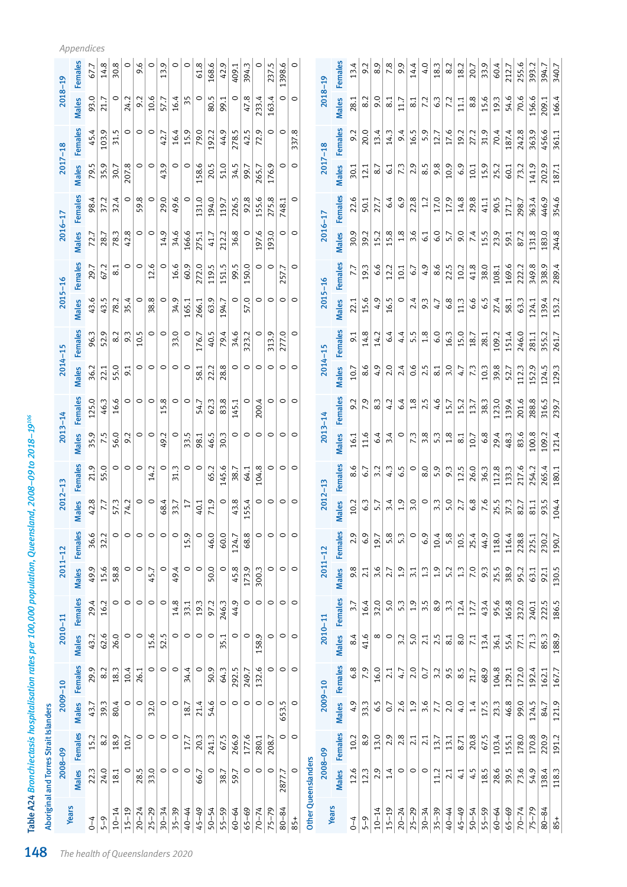|           | Aboriginal and Torres Strait Islanders |                |              |                |                 |                 |             |                    |                 |                |             |                |                 |                |             |                  |             |                |                  |                |                        |                |            |
|-----------|----------------------------------------|----------------|--------------|----------------|-----------------|-----------------|-------------|--------------------|-----------------|----------------|-------------|----------------|-----------------|----------------|-------------|------------------|-------------|----------------|------------------|----------------|------------------------|----------------|------------|
|           | 2008-09                                |                | 2009-10      |                | $2010 - 11$     |                 | $2011 - 12$ |                    | $2012 - 13$     |                | $2013 - 14$ |                | $2014 - 15$     |                | $2015 - 16$ |                  | $2016 - 17$ |                | $2017 - 18$      |                | $2018 - 19$            |                |            |
| Years     | Males                                  | <b>Females</b> | Males        | <b>Females</b> | <b>Males</b>    | <b>Females</b>  | Males       | Females            | lales<br>Σ      | <b>Females</b> | Males       | <b>Females</b> | Males           | <b>Females</b> | Males       | <b>Females</b>   | Males       | <b>Females</b> | <b>Males</b>     | <b>Females</b> | Males                  | <b>Females</b> | Appendices |
| $0 - 4$   | 22.3                                   | 15.2           | 43.7         | 29.9           | 43.2            | 29.4            | 49.9        | 36.6               | 42.8            | 21.9           | 35.9        | 125.0          | 36.2            | 96.3           | 43.6        | 29.7             | 72.7        | 98.4           | 79.5             | 45.4           | 93.0                   | 67.7           |            |
| $5 - 9$   | 24.0                                   | 8.2            | 39.3         | 8.2            | 62.6            | 16.2            | 15.6        | Ņ<br>32.           | 7.7             | 55.0           | 7.5         | 46.3           | 22.1            | 52.9           | 43.5        | 67.2             | 28.7        | 37.2           | 35.9             | 103.9          | 21.7                   | 14.8           |            |
| $10 - 14$ | 18.1                                   | 18.9           | 80.4         | 18.3           | 26.0            | $\circ$         | 58.8        | $\circ$            | 57.3            | $\circ$        | 56.0        | 16.6           | 55.0            | 8.2            | 78.2        | $\overline{8.1}$ | 78.3        | 32.4           | 50.7             | 31.5           | $\circ$                | 30.8           |            |
| $15 - 19$ | $\circ$                                | 10.7           | $\circ$      | 10.4           | $\circ$         | $\circ$         | $\circ$     | $\circ$            | 74.2            | $\circ$        | 9.2         | $\circ$        | 9.1             | 9.3            | 35.4        | $\circ$          | 42.8        | $\circ$        | 207.8            | 0              | 24.2                   | 0              |            |
| $20 - 24$ | 28.5                                   | $\circ$        | $\circ$      | 26.1           | $\circ$         | $\circ$         | $\circ$     | $\circ$            | $\circ$         | $\circ$        | $\circ$     | $\circ$        | $\circ$         | 10.5           | 0           | $\circ$          | $\circ$     | 59.8           | $\circ$          | $\circ$        | 9.2                    | 9.6            |            |
| $25 - 29$ | 33.0                                   | $\circ$        | 32.0         | 0              | 15.6            | $\circ$         | 45.7        | $\circ$            | $\circ$         | 14.2           | $\circ$     | $\circ$        | $\circ$         | $\circ$        | 38.8        | 12.6             | $\circ$     | $\circ$        | $\circ$          | $\circ$        | 10.6                   | $\circ$        |            |
| $30 - 34$ | $\circ$                                | $\circ$        | $\circ$      | $\circ$        | r.<br>52.       | $\circ$         | $\circ$     | $\circ$            | 68.4            | $\circ$        | 49.2        | 15.8           | $\circ$         | $\circ$        | $\circ$     | $\circ$          | 14.9        | 29.0           | Ο,<br>43         | 42.7           | 57.7                   | 13.9           |            |
| $35 - 39$ | $\circ$                                | $\circ$        | $\circ$      | $\circ$        | $\circ$         | 14.8            | 49.4        | $\circ$            | 33.7            | 31.3           | $\circ$     | $\circ$        | $\circ$         | 33.0           | 34.9        | 16.6             | 34.6        | 49.6           | $\circ$          | 16.4           | 16.4                   | $\circ$        |            |
| 40-44     | $\circ$                                | 17.7           | 18.7         | 4<br>34.       | $\circ$         | 33.1            | $\circ$     | 15.9               | $\overline{17}$ | $\circ$        | 33.5        | $\circ$        | $\circ$         | $\circ$        | 165.1       | 60.9             | 166.6       | $\circ$        | $\circ$          | 15.9           | 35                     | $\circ$        |            |
| $45 - 49$ | 66.7                                   | 20.3           | 21.4         | $\circ$        | $\circ$         | 19.3            | $\circ$     | $\circ$            | 40.1            | $\circ$        | 98.1        | 54.7           | 58.1            | 176.7          | 266.1       | 272.0            | 275.1       | 131.0          | 158.6            | 79.0           | $\circ$                | 61.8           |            |
| $50 - 54$ | $\circ$                                | 241.3          | 54.6         | 50.9           | $\circ$         | 97.2            | 50.0        | 46.0               | 71.9            | 65.2           | 46.5        | 62.3           | 22.2            | 40.5           | 63.9        | 119.5            | 41.7        | 194.0          | 20.5             | 192.2          | 80.5                   | 168.6          |            |
| $55 - 59$ | 38.7                                   | 67.5           | $\circ$      | 64.3           | 35.1            | 246.3           | $\circ$     | 60.0               | $\circ$         | 145.6          | 30.3        | 83.8           | 28.8            | 79.4           | 194.7       | 151.5            | 212.2       | 119.7          | 51.0             | 44.9           | 99.1                   | 42.9           |            |
| $60 - 64$ | 59.7                                   | 266.9          | $\circ$      | 292.5          | $\circ$         | 44.9            | 45.8        | 124.7              | 43.8            | 38.7           | $\circ$     | 145.1          | $\circ$         | 34.6           | $\circ$     | 99.5             | 36.8        | 226.5          | 34.5             | 278.5          | $\circ$                | 409.1          |            |
| $65 - 69$ | $\circ$                                | 177.6          | $\circ$      | 249.7          | $\circ$         | $\circ$         | 173.9       | 68.8               | 55.4<br>J       | 64.1           | $\circ$     | $\circ$        | $\circ$         | 323.2          | O.<br>57    | 150.0            | $\circ$     | 92.8           | 99.7             | 42.5           | œ.<br>47.              | 394.3          |            |
| $70 - 74$ | $\circ$                                | 280.1          | $\circ$      | 132.6          | 158.9           | $\circ$         | 300.3       | $\circ$            | $\circ$         | 104.8          | $\circ$     | 200.4          | $\circ$         | $\circ$        | $\circ$     | $\circ$          | 197.6       | 155.6          | 265.7            | 72.9           | 233.4                  | $\circ$        |            |
| $75 - 79$ | $\circ$                                | 208.7          | $\circ$      | $\circ$        | $\circ$         | $\circ$         | $\circ$     | $\circ$            | $\circ$         | 0              | $\circ$     | $\circ$        | $\circ$         | 313.9          | $\circ$     | $\circ$          | 193.0       | 275.8          | 176.9            | $\circ$        | 163.4                  | 237.5          |            |
| $80 - 84$ | 2877.7                                 | $\circ$        | rù<br>653.   | $\circ$        | $\circ$         | $\circ$ $\circ$ | $\circ$     | $\circ$            | $\circ$         | $\circ$        | $\circ$     | $\circ$        | $\circ$         | 277.0          | $\circ$     | 257.7            | $\circ$     | 748.1          | $\circ$          | $\circ$        | $\circ$                | 1398.6         |            |
| 85+       | $\circ$                                | $\circ$        | $\circ$      |                | $\circ$         |                 | $\circ$     | $\circ$            | $\circ$         | $\circ$        | $\circ$     | $\circ$        | $\circ$         | $\circ$        | $\circ$     | $\circ$          | $\circ$     | 0              | $\circ$          | 337.8          | $\circ$                | $\circ$        |            |
|           | Other Queenslanders                    |                |              |                |                 |                 |             |                    |                 |                |             |                |                 |                |             |                  |             |                |                  |                |                        |                |            |
| Years     | $2008 - 09$                            |                | $2009 - 10$  |                | $2010 - 11$     |                 | $2011 - 12$ |                    | $2012 - 13$     |                | $2013 - 14$ |                | $2014 - 15$     |                | $2015 - 16$ |                  | 2016-17     |                | $2017 - 18$      |                | $2018 - 19$            |                |            |
|           | Males                                  | <b>Females</b> | <b>Males</b> | <b>Females</b> | Males           | <b>Females</b>  | Males       | <b>Females</b>     | <b>Males</b>    | <b>Females</b> | Males       | <b>Females</b> | Males           | <b>Females</b> | Males       | <b>Females</b>   | Males       | <b>Females</b> | Males            | <b>Females</b> | <b>Males</b>           | <b>Females</b> |            |
| $^{0-4}$  | 12.6                                   | 10.2           | 4.9          | $\infty$<br>ق  | 8.4             |                 | 9.8         | O)<br>$\dot{\sim}$ | 10.2            | 8.6            | 16.1        | 9.2            | 10.7            | 5 <sup>1</sup> | 22.1        | 7.7              | 30.9        | 22.6           | 30.1             | 9.2            | 28.1                   | 13.4           |            |
| $5 - 9$   | 123                                    | 8.9            | 33.3         | 7.9            | 41.6            | 16.4            | 2.1         | 6.9                | 6.3             | 6.7            | 11.6        | 7.9            | 8.6             | 14.8           | 15.6        | 19.3             | 39.2        | 50.1           | 12.1             | 20.0           | 8.2                    | 9.2            |            |
| $10 - 14$ | 2.9                                    | 13.0           | 6.5          | 16.0           | $\infty$        | 32.0            | 3.6         | 19.7               | 5.7             | 3.2            | 6.4         | 8.3            | 4.9             | 14.2           | 4.9         | 6.6              | 15.2        | 27.7           | $\overline{8.7}$ | 13.4           | 9.0                    | 8.9            |            |
| $15 - 19$ | $1.4\,$                                | 2.9            | 0.7          | 2.1            | $\circ$         | 5.0             | 2.7         | 5.8                | 3.4             | 4.3            | 3.4         | 4.2            | 2.0             | 6.4            | 16.5        | 12.2             | 15.8        | 6.4            | 61               | 14.3           | 8.1                    | 7.8            |            |
| $20 - 24$ | $\circ$                                | 2.8            | 2.6          | 4.7            | 3.2             | 5.3             | 2.9         | 5.3                | 1.9             | 6.5            | $\circ$     | $\ddot{\circ}$ | 2.4             | 4.4            | $\circ$     | 10.1             | 1.8         | $\ddot{\circ}$ | 7.3              | 9.4            | 117                    | 9.9            |            |
| $25 - 29$ | $\circ$                                | 2.1            | 1.9          | 2.0            | 5.0             | 1.9             | 3.1         | $\circ$            | 3.0             | $\circ$        | 7.3         | 1.8            | $\frac{6}{1}$   | 5.5            | 2.4         | 67               | 3.6         | 22.8           | 2.9              | 16.5           | $\approx$ <sup>1</sup> | 14.4           |            |
| $30 - 34$ | $\circ$                                | 2.1            | 3.6          | 0.7            | 2.1             | 3.5             | 1.3         | 6.9                | $\circ$         | 8.0            | 3.8         | 2.5            | 2.5             | 1.8            | 9.3         | 4.9              | 6.1         | 1.2            | 8.5              | 5.9            | 7.2                    | 4.0            |            |
| $35 - 39$ | 11.2                                   | 13.7           | 7.7          | 3.2            | 2.5             | 8.9             | 1.9         | 10.4               | 3.3             | 5.9            | 5.3         | 4.6            | 8.1             | $\ddot{6}$ .0  | 4.7         | 8.6              | 6.0         | 17.0           | 9.8              | 12.7           | 6.3                    | 18.3           |            |
| 40-44     | 2.1                                    | 13.1           | 2.0          | rÙ.<br>oi      | 8.1             | 3.3             | 5.2         | 5.8                | 5.0             | 9.3            | 1.8         | 15.7           | 3.0             | 16.3           | 6.8         | 22.5             | 5.7         | 17.9           | 10.9             | 17.6           | 7.2                    | 8.2            |            |
| $45 - 49$ | 4.1                                    | 8.71           | 4.0          | 8.5            | 8.0             | 12.4            | 1.3         | 10.5               | 2.7             | $12.5$         | 8.1         | 15.2           | 4.7             | 15.0           | 11.3        | 10.2             | 9.0         | 14.8           | 6.9              | 19.2           | 11.1                   | 18.2           |            |
| $50 - 54$ | 4.5                                    | 20.8           | 1.4          | 21.7           | $\overline{71}$ | 17.7            | 7.0         | 25.4               | 6.8             | 26.0           | 10.7        | 13.7           | $\overline{73}$ | 18.7           | 6.6         | 41.8             | 7.4         | 29.8           | 10.1             | 27.2           | 8.8                    | 20.7           |            |
| $55 - 59$ | 18.5                                   | 67.5           | 17.5         | 68.9           | 13.4            | 43.4            | 9.3         | 44.9               | 7.6             | 36.3           | 6.8         | 38.3           | 10.3            | 28.1           | 6.5         | 38.0             | 15.5        | 41.1           | 15.9             | 31.9           | 15.6                   | 33.9           |            |
| 60-64     | 28.6                                   | 103.4          | 23.3         | 104.8          | 36.1            | 95.6            | 25.5        | 118.0              | 25.5            | 112.8          | 29.4        | 123.0          | 39.8            | 109.2          | 27.4        | 108.1            | 23.9        | 90.5           | 25.2             | 70.4           | 19.3                   | 60.4           |            |
| $65 - 69$ | 39.5                                   | 155.1          | 46.8         | 129.1          | 55.4            | 165.8           | 38.9        | 116.4              | 37.3            | 133.3          | 48.3        | 139.4          | 52.7            | 151.4          | 58.1        | 169.6            | 59.1        | 171.7          | 60.1             | 187.4          | 54.6                   | 212.7          |            |
| $70 - 74$ | 73.6                                   | 178.0          | 99.0         | 172.0          | 77.1            | 232.0           | 95.2        | 228.8              | 82.7            | 217.6          | 83.6        | 201.6          | 112.3           | 246.0          | 63.3        | 222.2            | 87.2        | 298.7          | 73.2             | 242.8          | 70.6                   | 255.6          |            |
| $75 - 79$ | 54.9                                   | 170.8          | 124.5        | 192.4          | 71.3            | 240.1           | 63.1        | 225.1              | 81.1            | 254.2          | 100.8       | 288.8          | 152.9           | 281.1          | 124.1       | 349.8            | 131.8       | 363.4          | 141.9            | 363.9          | 156.6                  | 393.2          |            |
| $80 - 84$ | 138.4                                  | 220.9          | 84.7         | 162.1          | 85.3            | 222.5           | 92.1        | 230.2              | 93.5            | 265.4          | 109.2       | 316.5          | 124.5           | 355.2          | 139.4       | 338.9            | 183.0       | 446.9          | 202.9            | 456.6          | 209.1                  | 394.7          |            |
| $85+$     | 118.3                                  | 191.2          | 121.9        | 167.7          | 188.9           | 186.5           | 130.5       | 190.7              | 104.4           | 180.1          | 121.4       | 239.7          | 129.3           | 261.7          | 153.2       | 289.4            | 244.8       | 354.6          | 187.1            | 361.1          | 166.4                  | 340.7          |            |

Table A24 Bronchiectasis hospitalisation rates per 100,000 population, Queensland, 2008-09 to 2018-19<sup>06</sup> Table A24 *Bronchiectasis hospitalisation rates per 100,000 population, Queensland, 2008–09 to 2018–19106*